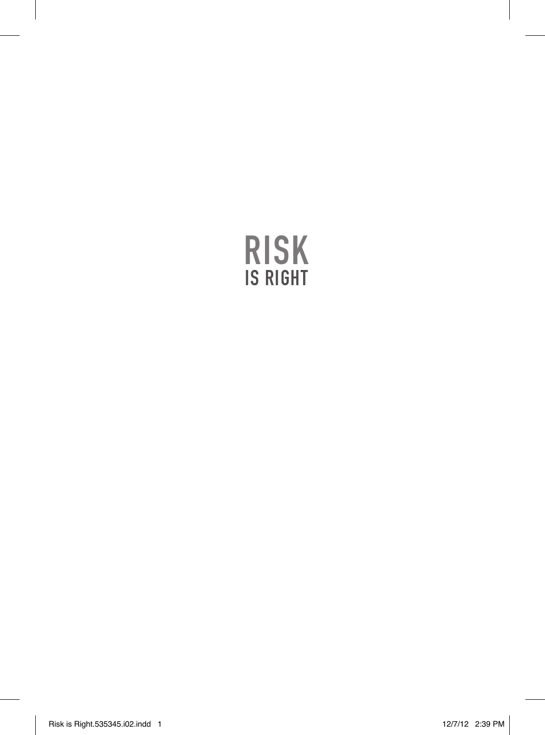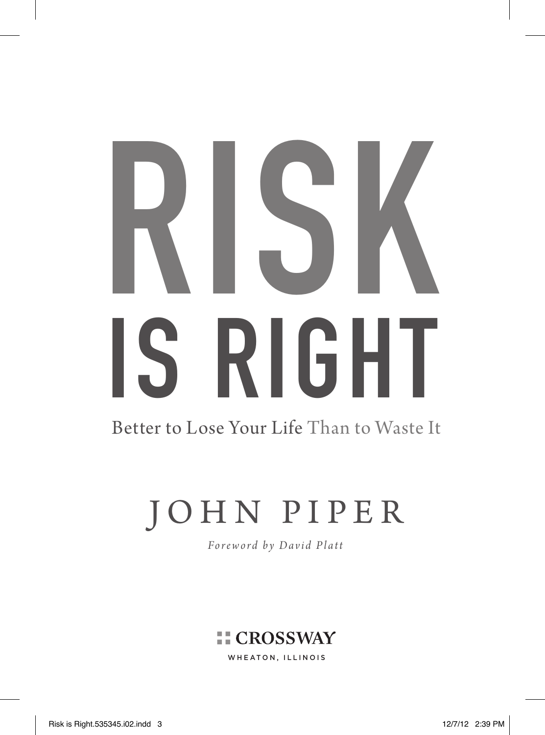## Risk Is Right Better to Lose Your Life Than to Waste It John Piper Foreword by David Platt Better to Lose Your Life Than to Waste It RISK S RIGHT

## JOHN PIPER

*Foreword by David Platt*



WHEATON, ILLINOIS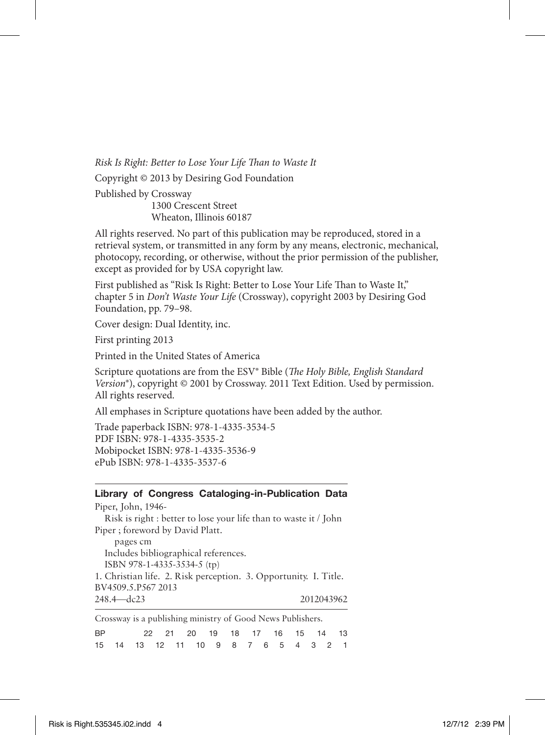*Risk Is Right: Better to Lose Your Life Than to Waste It* Copyright © 2013 by Desiring God Foundation Published by Crossway 1300 Crescent Street Wheaton, Illinois 60187

All rights reserved. No part of this publication may be reproduced, stored in a retrieval system, or transmitted in any form by any means, electronic, mechanical, photocopy, recording, or otherwise, without the prior permission of the publisher, except as provided for by USA copyright law.

First published as "Risk Is Right: Better to Lose Your Life Than to Waste It," chapter 5 in *Don't Waste Your Life* (Crossway), copyright 2003 by Desiring God Foundation, pp. 79–98.

Cover design: Dual Identity, inc.

First printing 2013

Printed in the United States of America

Scripture quotations are from the ESV® Bible (*The Holy Bible, English Standard Version*®), copyright © 2001 by Crossway. 2011 Text Edition. Used by permission. All rights reserved.

All emphases in Scripture quotations have been added by the author.

Trade paperback ISBN: 978-1-4335-3534-5 PDF ISBN: 978-1-4335-3535-2 Mobipocket ISBN: 978-1-4335-3536-9 ePub ISBN: 978-1-4335-3537-6

#### **Library of Congress Cataloging-in-Publication Data**

Piper, John, 1946- Risk is right : better to lose your life than to waste it / John Piper ; foreword by David Platt. pages cm Includes bibliographical references. ISBN 978-1-4335-3534-5 (tp) 1. Christian life. 2. Risk perception. 3. Opportunity. I. Title. BV4509.5.P567 2013 248.4—dc23 2012043962

Crossway is a publishing ministry of Good News Publishers.

| BP. |                                     |  | 22  21  20  19  18  17  16  15  14  13 |  |  |  |  |  |
|-----|-------------------------------------|--|----------------------------------------|--|--|--|--|--|
|     | 15 14 13 12 11 10 9 8 7 6 5 4 3 2 1 |  |                                        |  |  |  |  |  |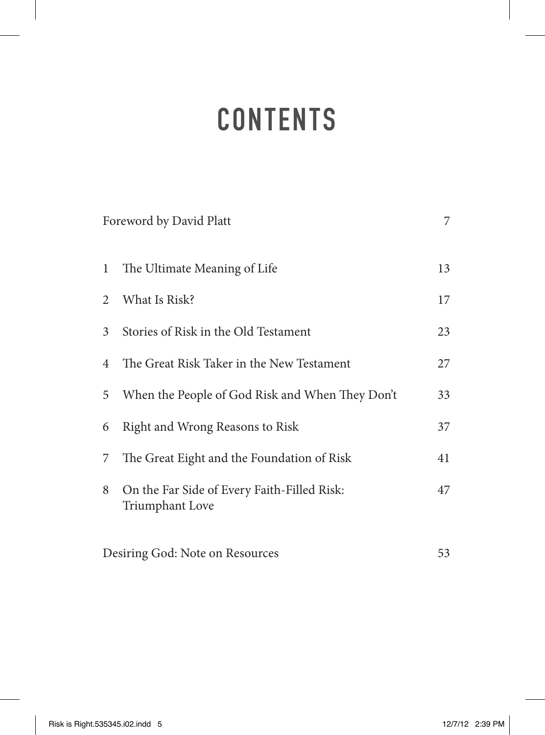### **CONTENTS**

|              | Foreword by David Platt                                        | 7  |
|--------------|----------------------------------------------------------------|----|
| $\mathbf{1}$ | The Ultimate Meaning of Life                                   | 13 |
| 2            | What Is Risk?                                                  | 17 |
| 3            | Stories of Risk in the Old Testament                           | 23 |
| 4            | The Great Risk Taker in the New Testament                      | 27 |
| 5            | When the People of God Risk and When They Don't                | 33 |
| 6            | Right and Wrong Reasons to Risk                                | 37 |
| 7            | The Great Eight and the Foundation of Risk                     | 41 |
| 8            | On the Far Side of Every Faith-Filled Risk:<br>Triumphant Love | 47 |
|              | Desiring God: Note on Resources                                | 53 |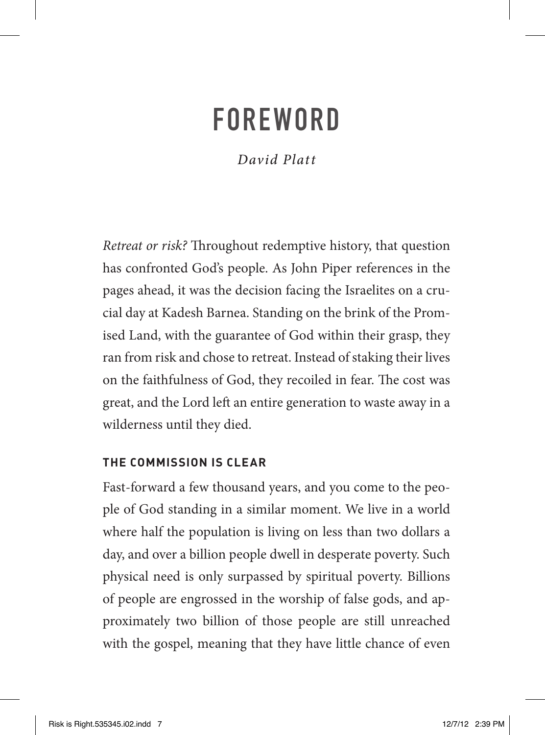### FOREWORD

*David Platt*

*Retreat or risk?* Throughout redemptive history, that question has confronted God's people. As John Piper references in the pages ahead, it was the decision facing the Israelites on a crucial day at Kadesh Barnea. Standing on the brink of the Promised Land, with the guarantee of God within their grasp, they ran from risk and chose to retreat. Instead of staking their lives on the faithfulness of God, they recoiled in fear. The cost was great, and the Lord left an entire generation to waste away in a wilderness until they died.

#### **THE COMMISSION IS CLEAR**

Fast-forward a few thousand years, and you come to the people of God standing in a similar moment. We live in a world where half the population is living on less than two dollars a day, and over a billion people dwell in desperate poverty. Such physical need is only surpassed by spiritual poverty. Billions of people are engrossed in the worship of false gods, and approximately two billion of those people are still unreached with the gospel, meaning that they have little chance of even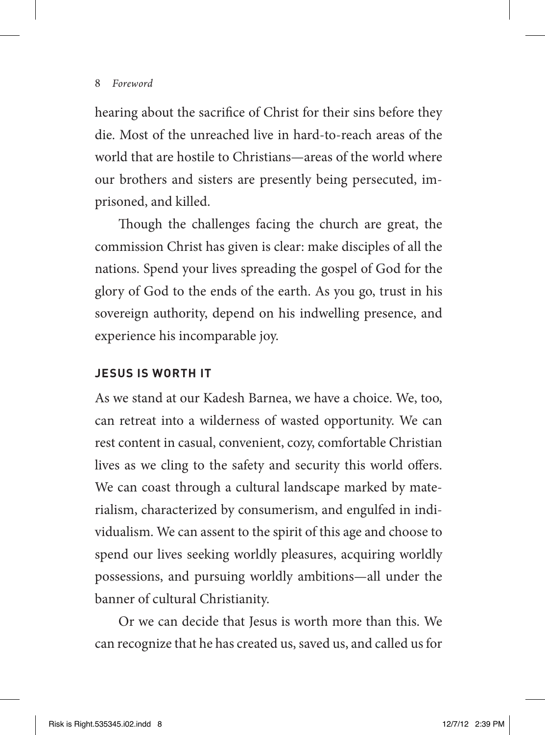hearing about the sacrifice of Christ for their sins before they die. Most of the unreached live in hard-to-reach areas of the world that are hostile to Christians—areas of the world where our brothers and sisters are presently being persecuted, imprisoned, and killed.

Though the challenges facing the church are great, the commission Christ has given is clear: make disciples of all the nations. Spend your lives spreading the gospel of God for the glory of God to the ends of the earth. As you go, trust in his sovereign authority, depend on his indwelling presence, and experience his incomparable joy.

#### **JESUS IS WORTH IT**

As we stand at our Kadesh Barnea, we have a choice. We, too, can retreat into a wilderness of wasted opportunity. We can rest content in casual, convenient, cozy, comfortable Christian lives as we cling to the safety and security this world offers. We can coast through a cultural landscape marked by materialism, characterized by consumerism, and engulfed in individualism. We can assent to the spirit of this age and choose to spend our lives seeking worldly pleasures, acquiring worldly possessions, and pursuing worldly ambitions—all under the banner of cultural Christianity.

Or we can decide that Jesus is worth more than this. We can recognize that he has created us, saved us, and called us for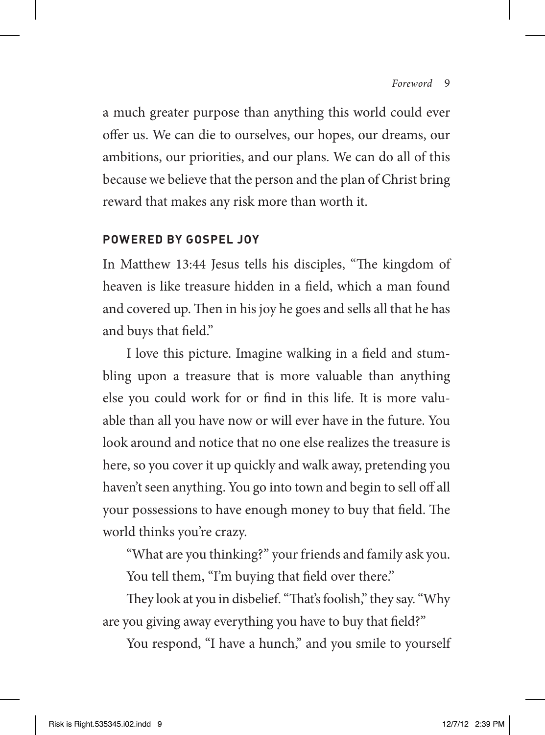a much greater purpose than anything this world could ever offer us. We can die to ourselves, our hopes, our dreams, our ambitions, our priorities, and our plans. We can do all of this because we believe that the person and the plan of Christ bring reward that makes any risk more than worth it.

#### **POWERED BY GOSPEL JOY**

In Matthew 13:44 Jesus tells his disciples, "The kingdom of heaven is like treasure hidden in a field, which a man found and covered up. Then in his joy he goes and sells all that he has and buys that field."

I love this picture. Imagine walking in a field and stumbling upon a treasure that is more valuable than anything else you could work for or find in this life. It is more valuable than all you have now or will ever have in the future. You look around and notice that no one else realizes the treasure is here, so you cover it up quickly and walk away, pretending you haven't seen anything. You go into town and begin to sell off all your possessions to have enough money to buy that field. The world thinks you're crazy.

"What are you thinking?" your friends and family ask you.

You tell them, "I'm buying that field over there."

They look at you in disbelief. "That's foolish," they say. "Why are you giving away everything you have to buy that field?"

You respond, "I have a hunch," and you smile to yourself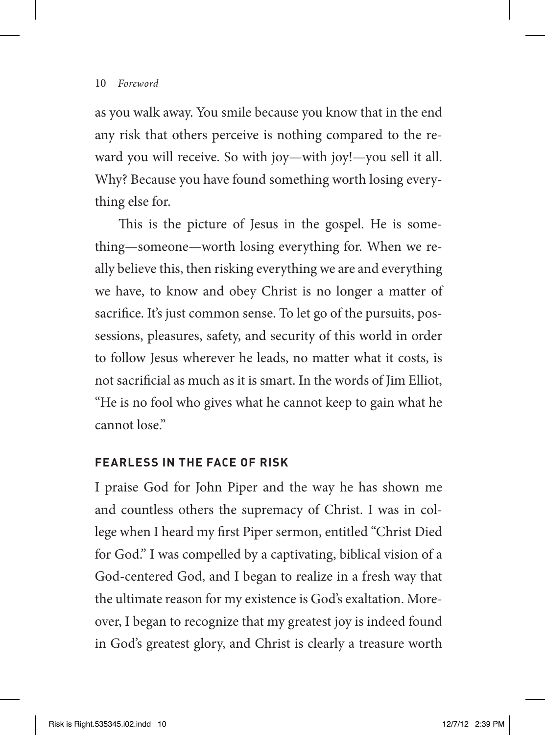as you walk away. You smile because you know that in the end any risk that others perceive is nothing compared to the reward you will receive. So with joy—with joy!—you sell it all. Why? Because you have found something worth losing everything else for.

This is the picture of Jesus in the gospel. He is something—someone—worth losing everything for. When we really believe this, then risking everything we are and everything we have, to know and obey Christ is no longer a matter of sacrifice. It's just common sense. To let go of the pursuits, possessions, pleasures, safety, and security of this world in order to follow Jesus wherever he leads, no matter what it costs, is not sacrificial as much as it is smart. In the words of Jim Elliot, "He is no fool who gives what he cannot keep to gain what he cannot lose."

#### **FEARLESS IN THE FACE OF RISK**

I praise God for John Piper and the way he has shown me and countless others the supremacy of Christ. I was in college when I heard my first Piper sermon, entitled "Christ Died for God." I was compelled by a captivating, biblical vision of a God-centered God, and I began to realize in a fresh way that the ultimate reason for my existence is God's exaltation. Moreover, I began to recognize that my greatest joy is indeed found in God's greatest glory, and Christ is clearly a treasure worth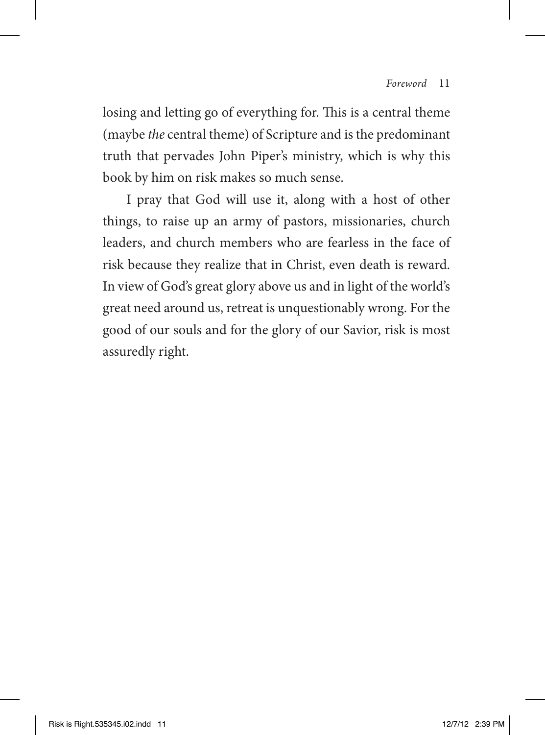losing and letting go of everything for. This is a central theme (maybe *the* central theme) of Scripture and is the predominant truth that pervades John Piper's ministry, which is why this book by him on risk makes so much sense.

I pray that God will use it, along with a host of other things, to raise up an army of pastors, missionaries, church leaders, and church members who are fearless in the face of risk because they realize that in Christ, even death is reward. In view of God's great glory above us and in light of the world's great need around us, retreat is unquestionably wrong. For the good of our souls and for the glory of our Savior, risk is most assuredly right.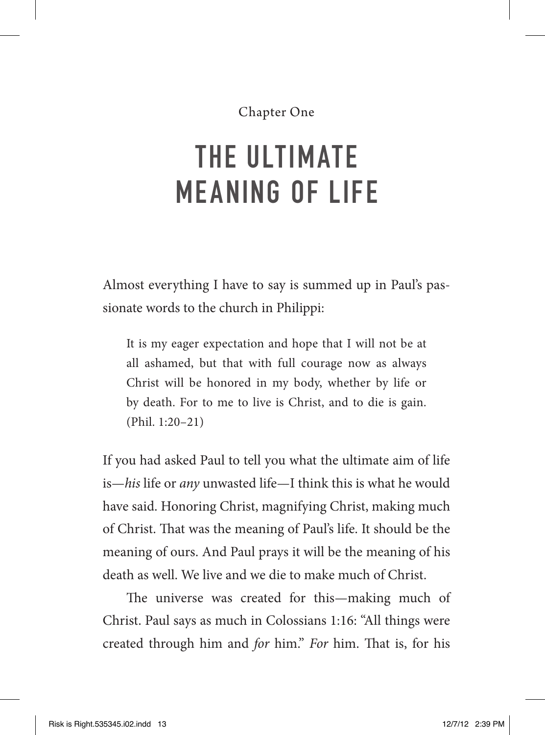Chapter One

### THE ULTIMATE MEANING OF LIFE

Almost everything I have to say is summed up in Paul's passionate words to the church in Philippi:

It is my eager expectation and hope that I will not be at all ashamed, but that with full courage now as always Christ will be honored in my body, whether by life or by death. For to me to live is Christ, and to die is gain. (Phil. 1:20–21)

If you had asked Paul to tell you what the ultimate aim of life is—*his* life or *any* unwasted life—I think this is what he would have said. Honoring Christ, magnifying Christ, making much of Christ. That was the meaning of Paul's life. It should be the meaning of ours. And Paul prays it will be the meaning of his death as well. We live and we die to make much of Christ.

The universe was created for this—making much of Christ. Paul says as much in Colossians 1:16: "All things were created through him and *for* him." *For* him. That is, for his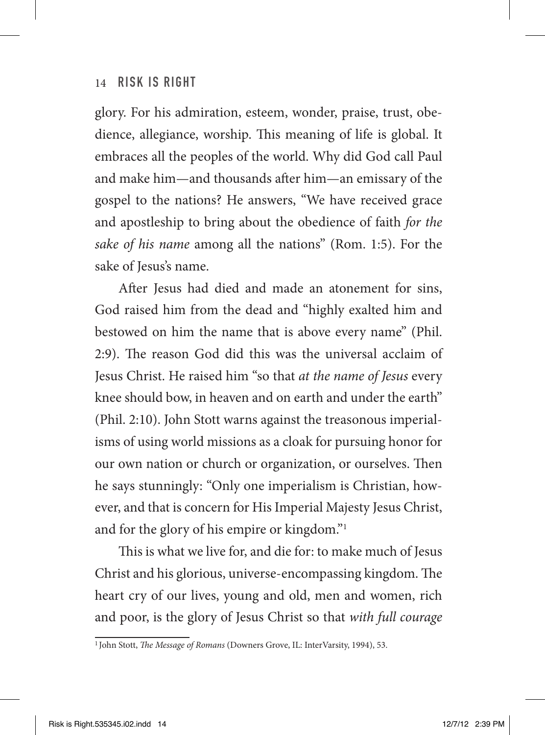glory. For his admiration, esteem, wonder, praise, trust, obedience, allegiance, worship. This meaning of life is global. It embraces all the peoples of the world. Why did God call Paul and make him—and thousands after him—an emissary of the gospel to the nations? He answers, "We have received grace and apostleship to bring about the obedience of faith *for the sake of his name* among all the nations" (Rom. 1:5). For the sake of Jesus's name.

After Jesus had died and made an atonement for sins, God raised him from the dead and "highly exalted him and bestowed on him the name that is above every name" (Phil. 2:9). The reason God did this was the universal acclaim of Jesus Christ. He raised him "so that *at the name of Jesus* every knee should bow, in heaven and on earth and under the earth" (Phil. 2:10). John Stott warns against the treasonous imperialisms of using world missions as a cloak for pursuing honor for our own nation or church or organization, or ourselves. Then he says stunningly: "Only one imperialism is Christian, however, and that is concern for His Imperial Majesty Jesus Christ, and for the glory of his empire or kingdom."1

This is what we live for, and die for: to make much of Jesus Christ and his glorious, universe-encompassing kingdom. The heart cry of our lives, young and old, men and women, rich and poor, is the glory of Jesus Christ so that *with full courage* 

<sup>1</sup> John Stott, *The Message of Romans* (Downers Grove, IL: InterVarsity, 1994), 53.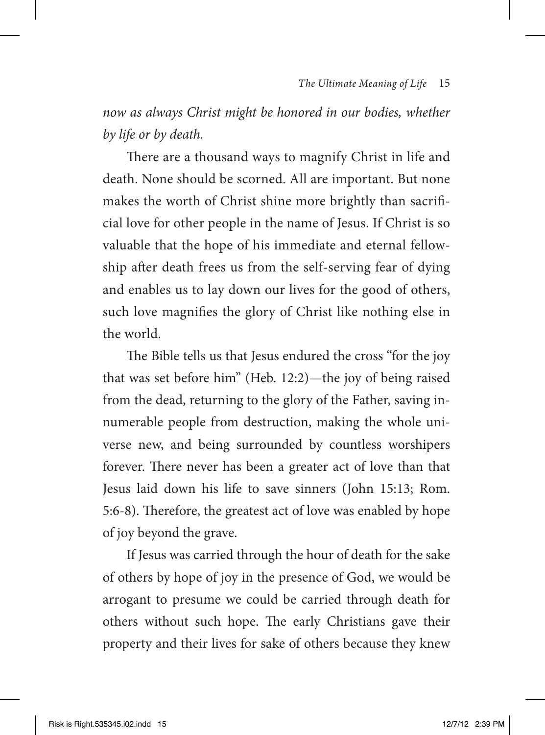*now as always Christ might be honored in our bodies, whether by life or by death.*

There are a thousand ways to magnify Christ in life and death. None should be scorned. All are important. But none makes the worth of Christ shine more brightly than sacrificial love for other people in the name of Jesus. If Christ is so valuable that the hope of his immediate and eternal fellowship after death frees us from the self-serving fear of dying and enables us to lay down our lives for the good of others, such love magnifies the glory of Christ like nothing else in the world.

The Bible tells us that Jesus endured the cross "for the joy that was set before him" (Heb. 12:2)—the joy of being raised from the dead, returning to the glory of the Father, saving innumerable people from destruction, making the whole universe new, and being surrounded by countless worshipers forever. There never has been a greater act of love than that Jesus laid down his life to save sinners (John 15:13; Rom. 5:6-8). Therefore, the greatest act of love was enabled by hope of joy beyond the grave.

If Jesus was carried through the hour of death for the sake of others by hope of joy in the presence of God, we would be arrogant to presume we could be carried through death for others without such hope. The early Christians gave their property and their lives for sake of others because they knew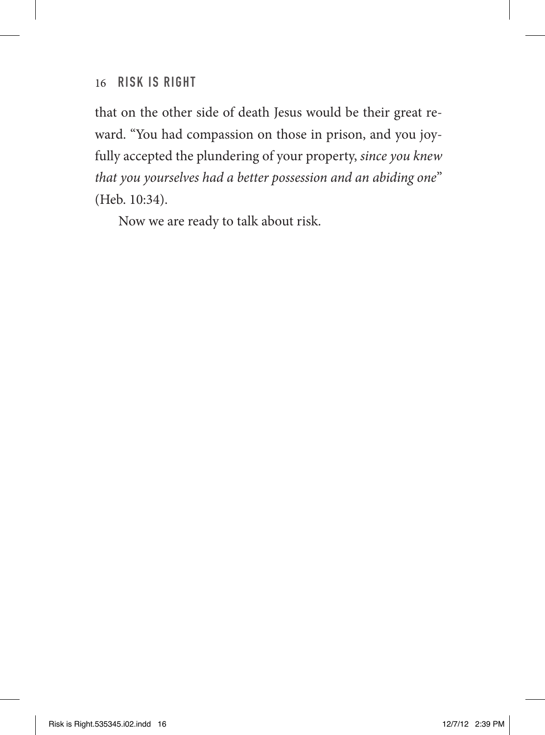#### 16 Risk Is Right

that on the other side of death Jesus would be their great reward. "You had compassion on those in prison, and you joyfully accepted the plundering of your property, *since you knew that you yourselves had a better possession and an abiding one*" (Heb. 10:34).

Now we are ready to talk about risk.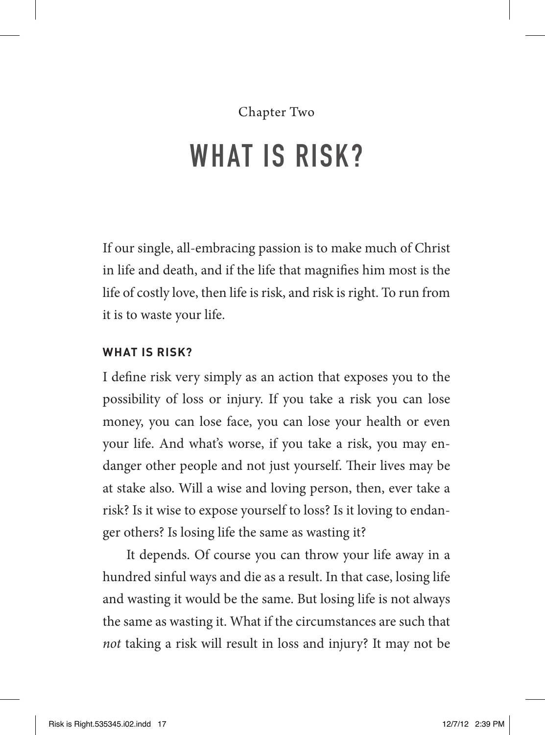### Chapter Two WHAT IS RISK?

If our single, all-embracing passion is to make much of Christ in life and death, and if the life that magnifies him most is the life of costly love, then life is risk, and risk is right. To run from it is to waste your life.

#### **WHAT IS RISK?**

I define risk very simply as an action that exposes you to the possibility of loss or injury. If you take a risk you can lose money, you can lose face, you can lose your health or even your life. And what's worse, if you take a risk, you may endanger other people and not just yourself. Their lives may be at stake also. Will a wise and loving person, then, ever take a risk? Is it wise to expose yourself to loss? Is it loving to endanger others? Is losing life the same as wasting it?

It depends. Of course you can throw your life away in a hundred sinful ways and die as a result. In that case, losing life and wasting it would be the same. But losing life is not always the same as wasting it. What if the circumstances are such that *not* taking a risk will result in loss and injury? It may not be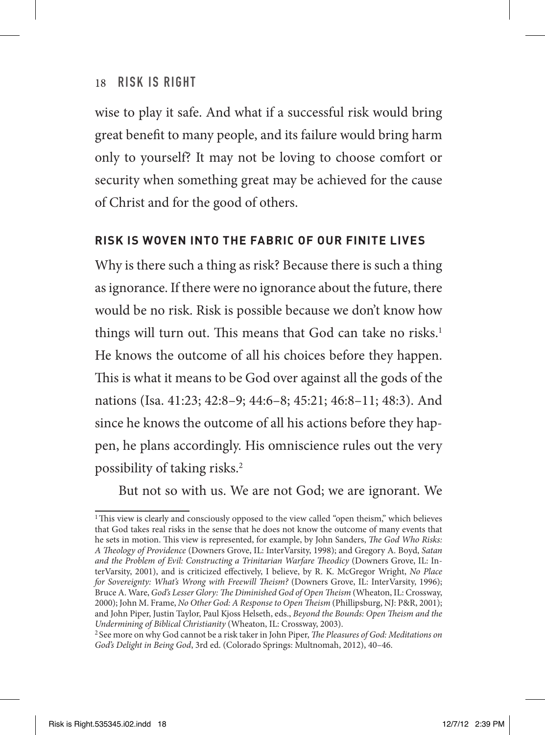wise to play it safe. And what if a successful risk would bring great benefit to many people, and its failure would bring harm only to yourself? It may not be loving to choose comfort or security when something great may be achieved for the cause of Christ and for the good of others.

#### **RISK IS WOVEN INTO THE FABRIC OF OUR FINITE LIVES**

Why is there such a thing as risk? Because there is such a thing as ignorance. If there were no ignorance about the future, there would be no risk. Risk is possible because we don't know how things will turn out. This means that God can take no risks.<sup>1</sup> He knows the outcome of all his choices before they happen. This is what it means to be God over against all the gods of the nations (Isa. 41:23; 42:8–9; 44:6–8; 45:21; 46:8–11; 48:3). And since he knows the outcome of all his actions before they happen, he plans accordingly. His omniscience rules out the very possibility of taking risks.2

But not so with us. We are not God; we are ignorant. We

<sup>&</sup>lt;sup>1</sup>This view is clearly and consciously opposed to the view called "open theism," which believes that God takes real risks in the sense that he does not know the outcome of many events that he sets in motion. This view is represented, for example, by John Sanders, *The God Who Risks: A Theology of Providence* (Downers Grove, IL: InterVarsity, 1998); and Gregory A. Boyd, *Satan and the Problem of Evil: Constructing a Trinitarian Warfare Theodicy* (Downers Grove, IL: InterVarsity, 2001), and is criticized effectively, I believe, by R. K. McGregor Wright, *No Place for Sovereignty: What's Wrong with Freewill Theism?* (Downers Grove, IL: InterVarsity, 1996); Bruce A. Ware, *God's Lesser Glory: The Diminished God of Open Theism* (Wheaton, IL: Crossway, 2000); John M. Frame, *No Other God: A Response to Open Theism* (Phillipsburg, NJ: P&R, 2001); and John Piper, Justin Taylor, Paul Kjoss Helseth, eds., *Beyond the Bounds: Open Theism and the Undermining of Biblical Christianity* (Wheaton, IL: Crossway, 2003).

<sup>2</sup> See more on why God cannot be a risk taker in John Piper, *The Pleasures of God: Meditations on God's Delight in Being God*, 3rd ed. (Colorado Springs: Multnomah, 2012), 40–46.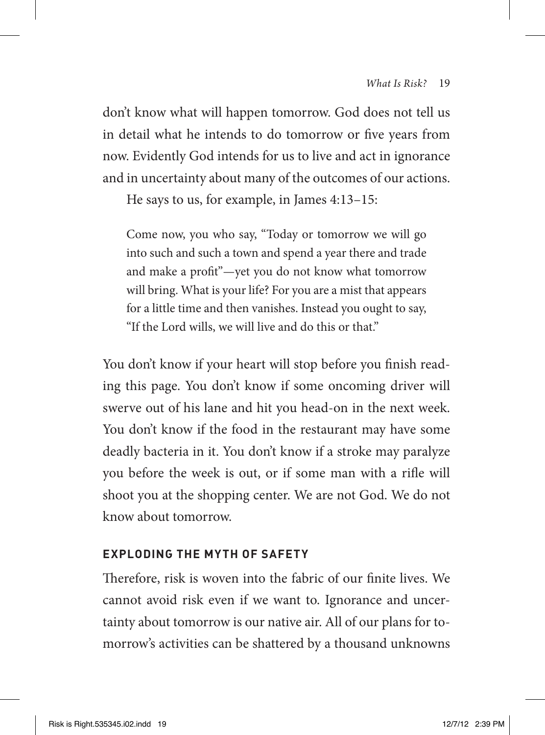don't know what will happen tomorrow. God does not tell us in detail what he intends to do tomorrow or five years from now. Evidently God intends for us to live and act in ignorance and in uncertainty about many of the outcomes of our actions.

He says to us, for example, in James 4:13–15:

Come now, you who say, "Today or tomorrow we will go into such and such a town and spend a year there and trade and make a profit"—yet you do not know what tomorrow will bring. What is your life? For you are a mist that appears for a little time and then vanishes. Instead you ought to say, "If the Lord wills, we will live and do this or that."

You don't know if your heart will stop before you finish reading this page. You don't know if some oncoming driver will swerve out of his lane and hit you head-on in the next week. You don't know if the food in the restaurant may have some deadly bacteria in it. You don't know if a stroke may paralyze you before the week is out, or if some man with a rifle will shoot you at the shopping center. We are not God. We do not know about tomorrow.

#### **EXPLODING THE MYTH OF SAFETY**

Therefore, risk is woven into the fabric of our finite lives. We cannot avoid risk even if we want to. Ignorance and uncertainty about tomorrow is our native air. All of our plans for tomorrow's activities can be shattered by a thousand unknowns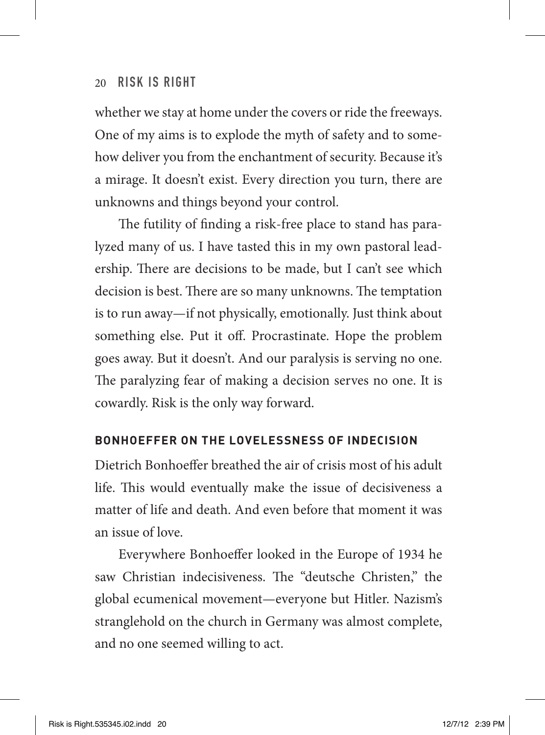#### 20 Risk Is Right

whether we stay at home under the covers or ride the freeways. One of my aims is to explode the myth of safety and to somehow deliver you from the enchantment of security. Because it's a mirage. It doesn't exist. Every direction you turn, there are unknowns and things beyond your control.

The futility of finding a risk-free place to stand has paralyzed many of us. I have tasted this in my own pastoral leadership. There are decisions to be made, but I can't see which decision is best. There are so many unknowns. The temptation is to run away—if not physically, emotionally. Just think about something else. Put it off. Procrastinate. Hope the problem goes away. But it doesn't. And our paralysis is serving no one. The paralyzing fear of making a decision serves no one. It is cowardly. Risk is the only way forward.

#### **BONHOEFFER ON THE LOVELESSNESS OF INDECISION**

Dietrich Bonhoeffer breathed the air of crisis most of his adult life. This would eventually make the issue of decisiveness a matter of life and death. And even before that moment it was an issue of love.

Everywhere Bonhoeffer looked in the Europe of 1934 he saw Christian indecisiveness. The "deutsche Christen," the global ecumenical movement—everyone but Hitler. Nazism's stranglehold on the church in Germany was almost complete, and no one seemed willing to act.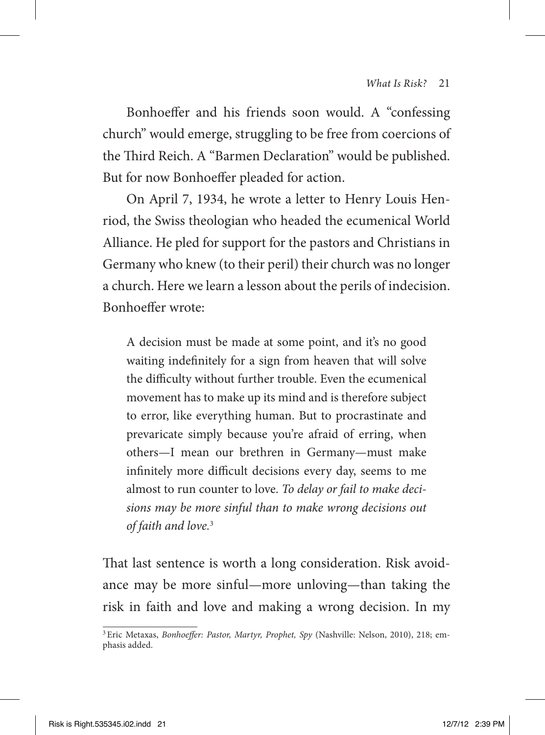Bonhoeffer and his friends soon would. A "confessing church" would emerge, struggling to be free from coercions of the Third Reich. A "Barmen Declaration" would be published. But for now Bonhoeffer pleaded for action.

On April 7, 1934, he wrote a letter to Henry Louis Henriod, the Swiss theologian who headed the ecumenical World Alliance. He pled for support for the pastors and Christians in Germany who knew (to their peril) their church was no longer a church. Here we learn a lesson about the perils of indecision. Bonhoeffer wrote:

A decision must be made at some point, and it's no good waiting indefinitely for a sign from heaven that will solve the difficulty without further trouble. Even the ecumenical movement has to make up its mind and is therefore subject to error, like everything human. But to procrastinate and prevaricate simply because you're afraid of erring, when others—I mean our brethren in Germany—must make infinitely more difficult decisions every day, seems to me almost to run counter to love. *To delay or fail to make decisions may be more sinful than to make wrong decisions out of faith and love.*<sup>3</sup>

That last sentence is worth a long consideration. Risk avoidance may be more sinful—more unloving—than taking the risk in faith and love and making a wrong decision. In my

<sup>3</sup>Eric Metaxas, *Bonhoeffer: Pastor, Martyr, Prophet, Spy* (Nashville: Nelson, 2010), 218; emphasis added.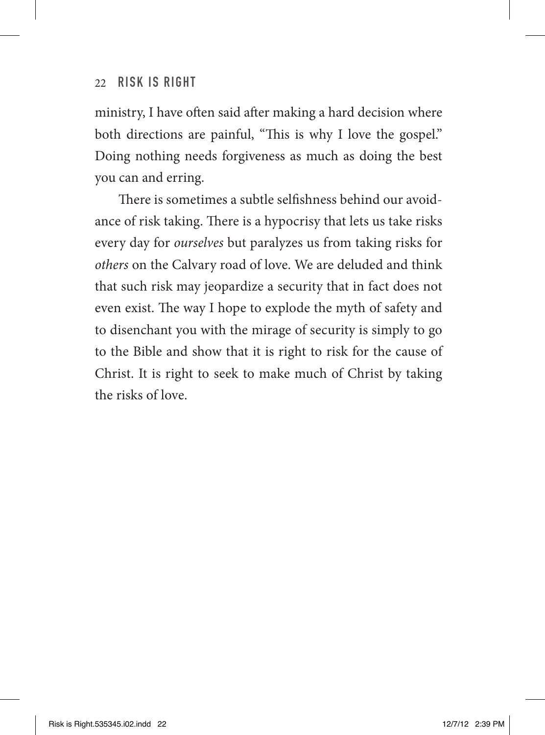#### 22 Risk Is Right

ministry, I have often said after making a hard decision where both directions are painful, "This is why I love the gospel." Doing nothing needs forgiveness as much as doing the best you can and erring.

There is sometimes a subtle selfishness behind our avoidance of risk taking. There is a hypocrisy that lets us take risks every day for *ourselves* but paralyzes us from taking risks for *others* on the Calvary road of love. We are deluded and think that such risk may jeopardize a security that in fact does not even exist. The way I hope to explode the myth of safety and to disenchant you with the mirage of security is simply to go to the Bible and show that it is right to risk for the cause of Christ. It is right to seek to make much of Christ by taking the risks of love.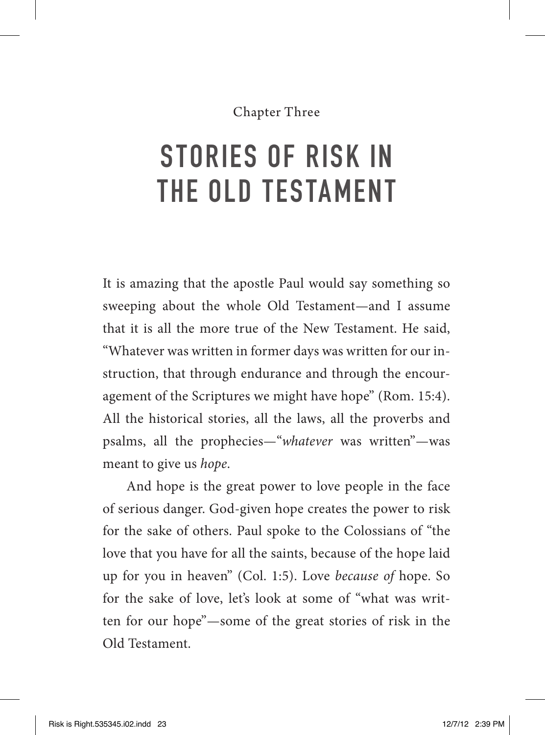#### Chapter Three

### STORIES OF RISK IN THE OLD TESTAMENT

It is amazing that the apostle Paul would say something so sweeping about the whole Old Testament—and I assume that it is all the more true of the New Testament. He said, "Whatever was written in former days was written for our instruction, that through endurance and through the encouragement of the Scriptures we might have hope" (Rom. 15:4). All the historical stories, all the laws, all the proverbs and psalms, all the prophecies—"*whatever* was written"—was meant to give us *hope*.

And hope is the great power to love people in the face of serious danger. God-given hope creates the power to risk for the sake of others. Paul spoke to the Colossians of "the love that you have for all the saints, because of the hope laid up for you in heaven" (Col. 1:5). Love *because of* hope. So for the sake of love, let's look at some of "what was written for our hope"—some of the great stories of risk in the Old Testament.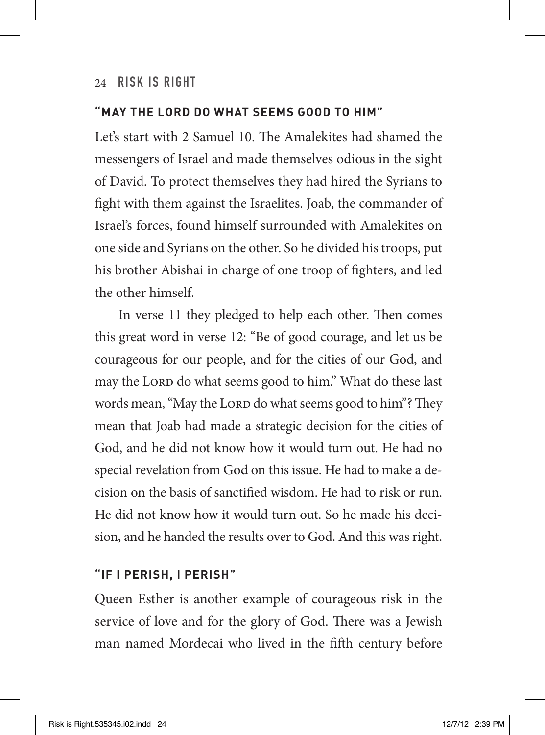#### **"MAY THE LORD DO WHAT SEEMS GOOD TO HIM"**

Let's start with 2 Samuel 10. The Amalekites had shamed the messengers of Israel and made themselves odious in the sight of David. To protect themselves they had hired the Syrians to fight with them against the Israelites. Joab, the commander of Israel's forces, found himself surrounded with Amalekites on one side and Syrians on the other. So he divided his troops, put his brother Abishai in charge of one troop of fighters, and led the other himself.

In verse 11 they pledged to help each other. Then comes this great word in verse 12: "Be of good courage, and let us be courageous for our people, and for the cities of our God, and may the Lord do what seems good to him." What do these last words mean, "May the LORD do what seems good to him"? They mean that Joab had made a strategic decision for the cities of God, and he did not know how it would turn out. He had no special revelation from God on this issue. He had to make a decision on the basis of sanctified wisdom. He had to risk or run. He did not know how it would turn out. So he made his decision, and he handed the results over to God. And this was right.

#### **"IF I PERISH, I PERISH"**

Queen Esther is another example of courageous risk in the service of love and for the glory of God. There was a Jewish man named Mordecai who lived in the fifth century before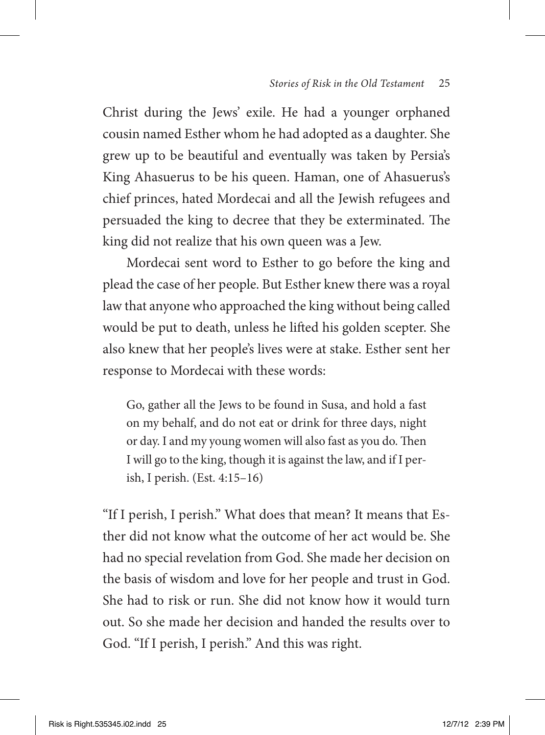Christ during the Jews' exile. He had a younger orphaned cousin named Esther whom he had adopted as a daughter. She grew up to be beautiful and eventually was taken by Persia's King Ahasuerus to be his queen. Haman, one of Ahasuerus's chief princes, hated Mordecai and all the Jewish refugees and persuaded the king to decree that they be exterminated. The king did not realize that his own queen was a Jew.

Mordecai sent word to Esther to go before the king and plead the case of her people. But Esther knew there was a royal law that anyone who approached the king without being called would be put to death, unless he lifted his golden scepter. She also knew that her people's lives were at stake. Esther sent her response to Mordecai with these words:

Go, gather all the Jews to be found in Susa, and hold a fast on my behalf, and do not eat or drink for three days, night or day. I and my young women will also fast as you do. Then I will go to the king, though it is against the law, and if I perish, I perish. (Est. 4:15–16)

"If I perish, I perish." What does that mean? It means that Esther did not know what the outcome of her act would be. She had no special revelation from God. She made her decision on the basis of wisdom and love for her people and trust in God. She had to risk or run. She did not know how it would turn out. So she made her decision and handed the results over to God. "If I perish, I perish." And this was right.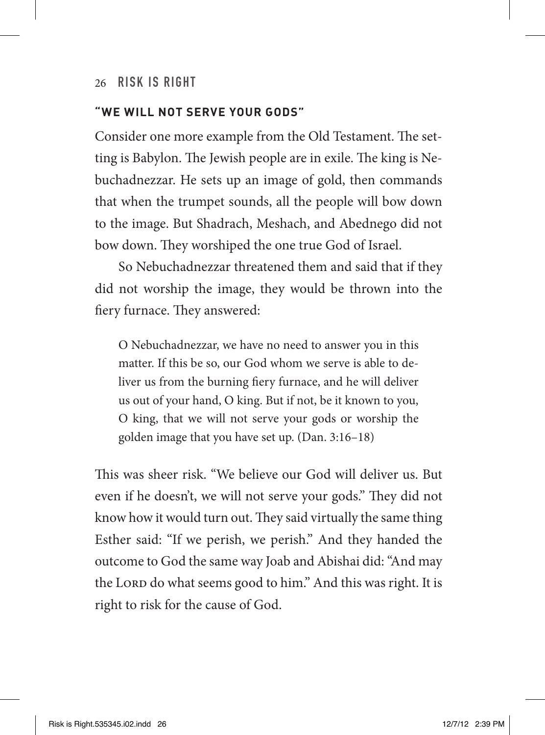#### 26 Risk Is Right

#### **"WE WILL NOT SERVE YOUR GODS"**

Consider one more example from the Old Testament. The setting is Babylon. The Jewish people are in exile. The king is Nebuchadnezzar. He sets up an image of gold, then commands that when the trumpet sounds, all the people will bow down to the image. But Shadrach, Meshach, and Abednego did not bow down. They worshiped the one true God of Israel.

So Nebuchadnezzar threatened them and said that if they did not worship the image, they would be thrown into the fiery furnace. They answered:

O Nebuchadnezzar, we have no need to answer you in this matter. If this be so, our God whom we serve is able to deliver us from the burning fiery furnace, and he will deliver us out of your hand, O king. But if not, be it known to you, O king, that we will not serve your gods or worship the golden image that you have set up. (Dan. 3:16–18)

This was sheer risk. "We believe our God will deliver us. But even if he doesn't, we will not serve your gods." They did not know how it would turn out. They said virtually the same thing Esther said: "If we perish, we perish." And they handed the outcome to God the same way Joab and Abishai did: "And may the Lord do what seems good to him." And this was right. It is right to risk for the cause of God.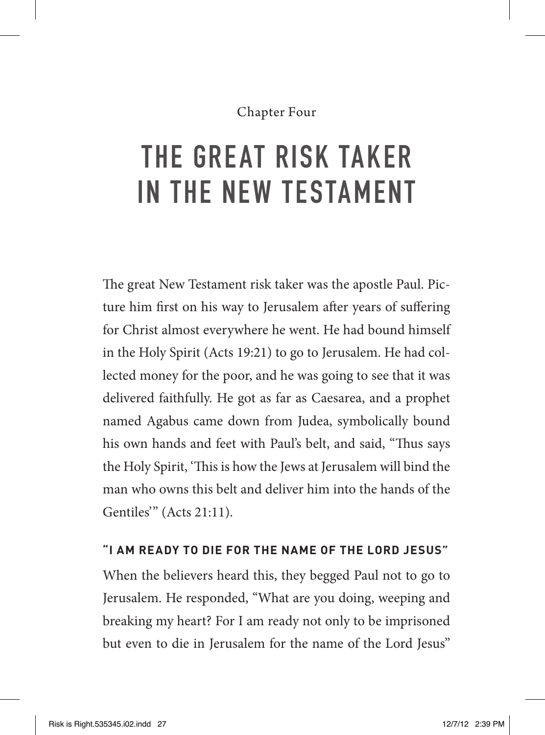#### Chapter Four

### THE GREAT RISK TAKER IN THE NEW TESTAMENT

The great New Testament risk taker was the apostle Paul. Picture him first on his way to Jerusalem after years of suffering for Christ almost everywhere he went. He had bound himself in the Holy Spirit (Acts 19:21) to go to Jerusalem. He had collected money for the poor, and he was going to see that it was delivered faithfully. He got as far as Caesarea, and a prophet named Agabus came down from Judea, symbolically bound his own hands and feet with Paul's belt, and said, "Thus says the Holy Spirit, 'This is how the Jews at Jerusalem will bind the man who owns this belt and deliver him into the hands of the Gentiles'" (Acts 21:11).

#### **"I AM READY TO DIE FOR THE NAME OF THE LORD JESUS"**

When the believers heard this, they begged Paul not to go to Jerusalem. He responded, "What are you doing, weeping and breaking my heart? For I am ready not only to be imprisoned but even to die in Jerusalem for the name of the Lord Jesus"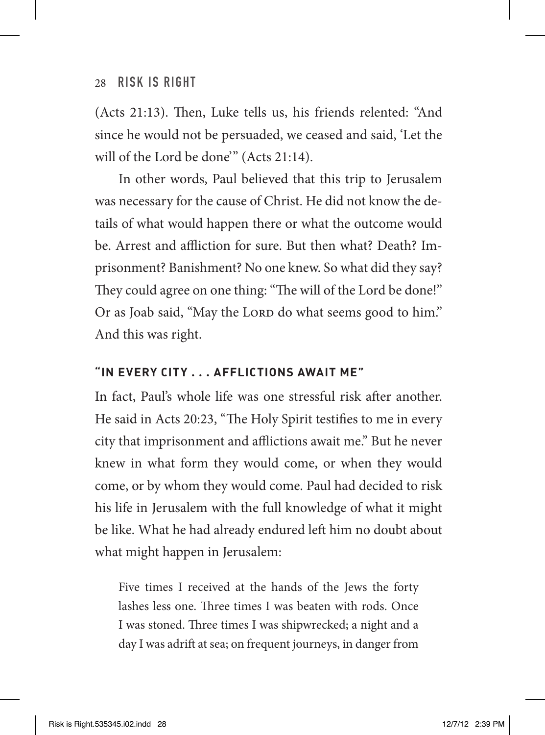#### 28 Risk Is Right

(Acts 21:13). Then, Luke tells us, his friends relented: "And since he would not be persuaded, we ceased and said, 'Let the will of the Lord be done'" (Acts 21:14).

In other words, Paul believed that this trip to Jerusalem was necessary for the cause of Christ. He did not know the details of what would happen there or what the outcome would be. Arrest and affliction for sure. But then what? Death? Imprisonment? Banishment? No one knew. So what did they say? They could agree on one thing: "The will of the Lord be done!" Or as Joab said, "May the LORD do what seems good to him." And this was right.

#### **"IN EVERY CITY . . . AFFLICTIONS AWAIT ME"**

In fact, Paul's whole life was one stressful risk after another. He said in Acts 20:23, "The Holy Spirit testifies to me in every city that imprisonment and afflictions await me." But he never knew in what form they would come, or when they would come, or by whom they would come. Paul had decided to risk his life in Jerusalem with the full knowledge of what it might be like. What he had already endured left him no doubt about what might happen in Jerusalem:

Five times I received at the hands of the Jews the forty lashes less one. Three times I was beaten with rods. Once I was stoned. Three times I was shipwrecked; a night and a day I was adrift at sea; on frequent journeys, in danger from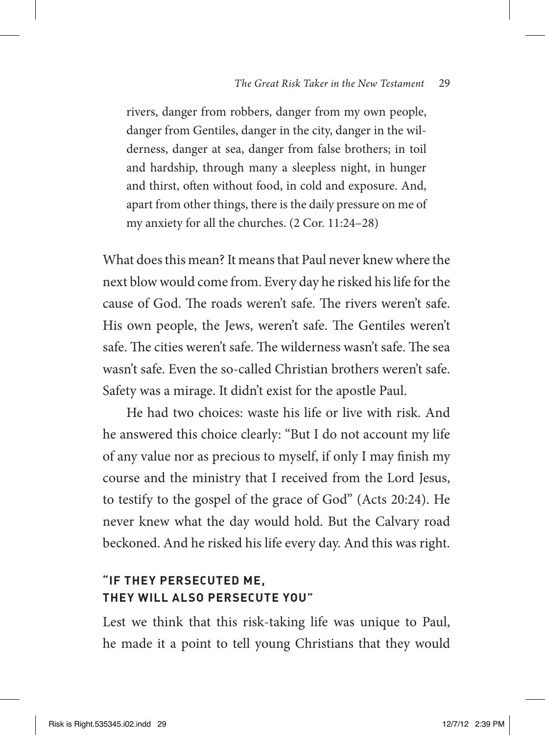rivers, danger from robbers, danger from my own people, danger from Gentiles, danger in the city, danger in the wilderness, danger at sea, danger from false brothers; in toil and hardship, through many a sleepless night, in hunger and thirst, often without food, in cold and exposure. And, apart from other things, there is the daily pressure on me of my anxiety for all the churches. (2 Cor. 11:24–28)

What does this mean? It means that Paul never knew where the next blow would come from. Every day he risked his life for the cause of God. The roads weren't safe. The rivers weren't safe. His own people, the Jews, weren't safe. The Gentiles weren't safe. The cities weren't safe. The wilderness wasn't safe. The sea wasn't safe. Even the so-called Christian brothers weren't safe. Safety was a mirage. It didn't exist for the apostle Paul.

He had two choices: waste his life or live with risk. And he answered this choice clearly: "But I do not account my life of any value nor as precious to myself, if only I may finish my course and the ministry that I received from the Lord Jesus, to testify to the gospel of the grace of God" (Acts 20:24). He never knew what the day would hold. But the Calvary road beckoned. And he risked his life every day. And this was right.

#### **"IF THEY PERSECUTED ME, THEY WILL ALSO PERSECUTE YOU"**

Lest we think that this risk-taking life was unique to Paul, he made it a point to tell young Christians that they would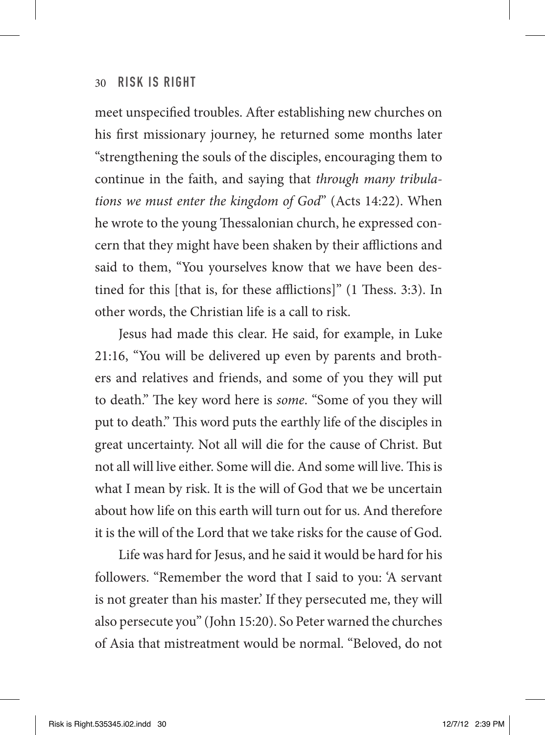meet unspecified troubles. After establishing new churches on his first missionary journey, he returned some months later "strengthening the souls of the disciples, encouraging them to continue in the faith, and saying that *through many tribulations we must enter the kingdom of God*" (Acts 14:22). When he wrote to the young Thessalonian church, he expressed concern that they might have been shaken by their afflictions and said to them, "You yourselves know that we have been destined for this [that is, for these afflictions]" (1 Thess. 3:3). In other words, the Christian life is a call to risk.

Jesus had made this clear. He said, for example, in Luke 21:16, "You will be delivered up even by parents and brothers and relatives and friends, and some of you they will put to death." The key word here is *some*. "Some of you they will put to death." This word puts the earthly life of the disciples in great uncertainty. Not all will die for the cause of Christ. But not all will live either. Some will die. And some will live. This is what I mean by risk. It is the will of God that we be uncertain about how life on this earth will turn out for us. And therefore it is the will of the Lord that we take risks for the cause of God.

Life was hard for Jesus, and he said it would be hard for his followers. "Remember the word that I said to you: 'A servant is not greater than his master.' If they persecuted me, they will also persecute you" (John 15:20). So Peter warned the churches of Asia that mistreatment would be normal. "Beloved, do not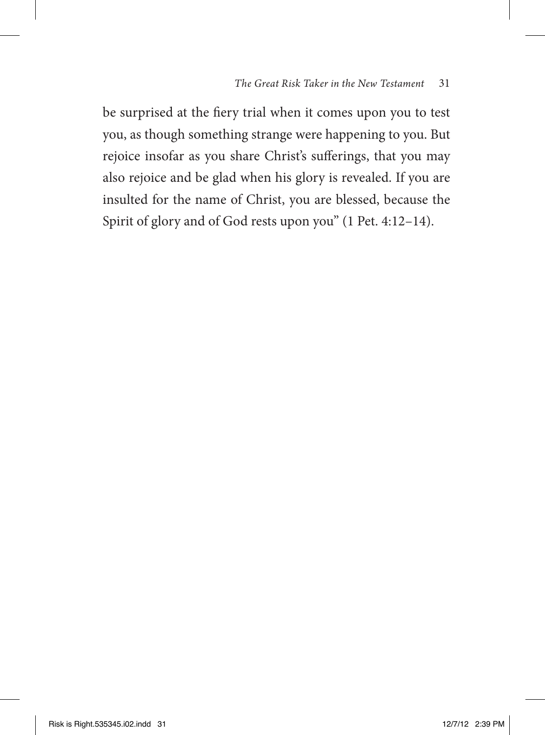be surprised at the fiery trial when it comes upon you to test you, as though something strange were happening to you. But rejoice insofar as you share Christ's sufferings, that you may also rejoice and be glad when his glory is revealed. If you are insulted for the name of Christ, you are blessed, because the Spirit of glory and of God rests upon you" (1 Pet. 4:12–14).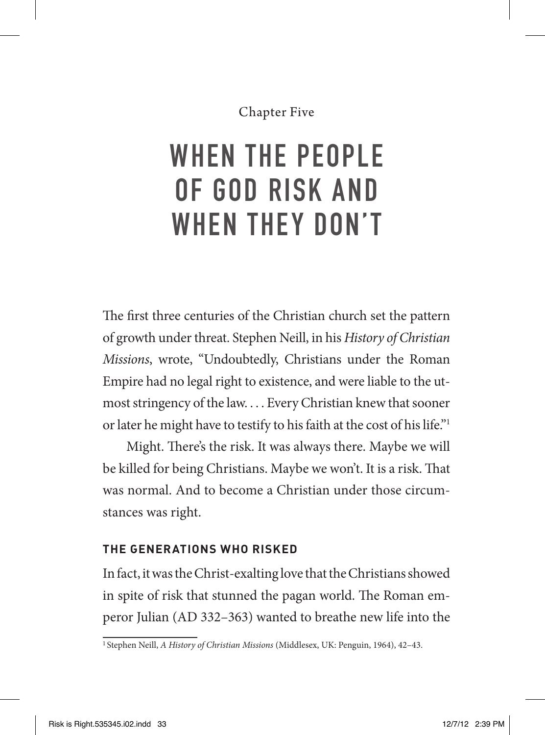Chapter Five

### WHEN THE PEOPLE OF GOD RISK AND WHEN THEY DON'T

The first three centuries of the Christian church set the pattern of growth under threat. Stephen Neill, in his *History of Christian Missions*, wrote, "Undoubtedly, Christians under the Roman Empire had no legal right to existence, and were liable to the utmost stringency of the law. . . . Every Christian knew that sooner or later he might have to testify to his faith at the cost of his life."1

Might. There's the risk. It was always there. Maybe we will be killed for being Christians. Maybe we won't. It is a risk. That was normal. And to become a Christian under those circumstances was right.

#### **THE GENERATIONS WHO RISKED**

In fact, it was the Christ-exalting love that the Christians showed in spite of risk that stunned the pagan world. The Roman emperor Julian (AD 332–363) wanted to breathe new life into the

<sup>1</sup> Stephen Neill, *A History of Christian Missions* (Middlesex, UK: Penguin, 1964), 42–43.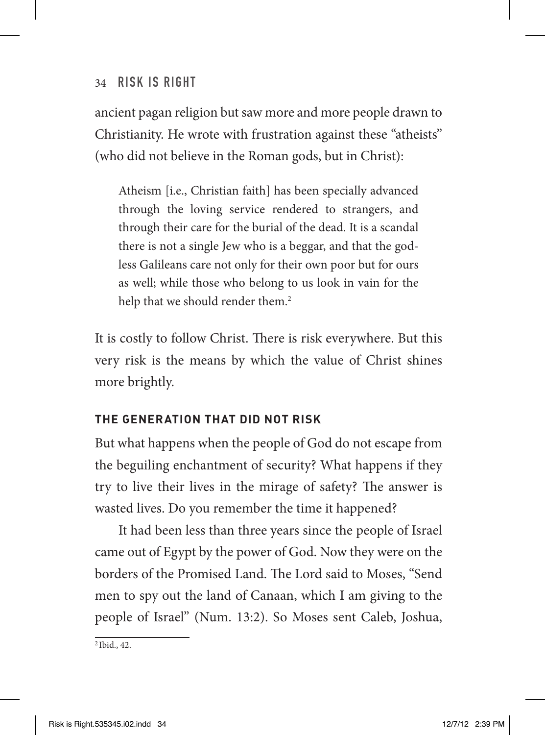#### 34 Risk Is Right

ancient pagan religion but saw more and more people drawn to Christianity. He wrote with frustration against these "atheists" (who did not believe in the Roman gods, but in Christ):

Atheism [i.e., Christian faith] has been specially advanced through the loving service rendered to strangers, and through their care for the burial of the dead. It is a scandal there is not a single Jew who is a beggar, and that the godless Galileans care not only for their own poor but for ours as well; while those who belong to us look in vain for the help that we should render them.<sup>2</sup>

It is costly to follow Christ. There is risk everywhere. But this very risk is the means by which the value of Christ shines more brightly.

#### **THE GENERATION THAT DID NOT RISK**

But what happens when the people of God do not escape from the beguiling enchantment of security? What happens if they try to live their lives in the mirage of safety? The answer is wasted lives. Do you remember the time it happened?

It had been less than three years since the people of Israel came out of Egypt by the power of God. Now they were on the borders of the Promised Land. The Lord said to Moses, "Send men to spy out the land of Canaan, which I am giving to the people of Israel" (Num. 13:2). So Moses sent Caleb, Joshua,

 $2$  Ibid., 42.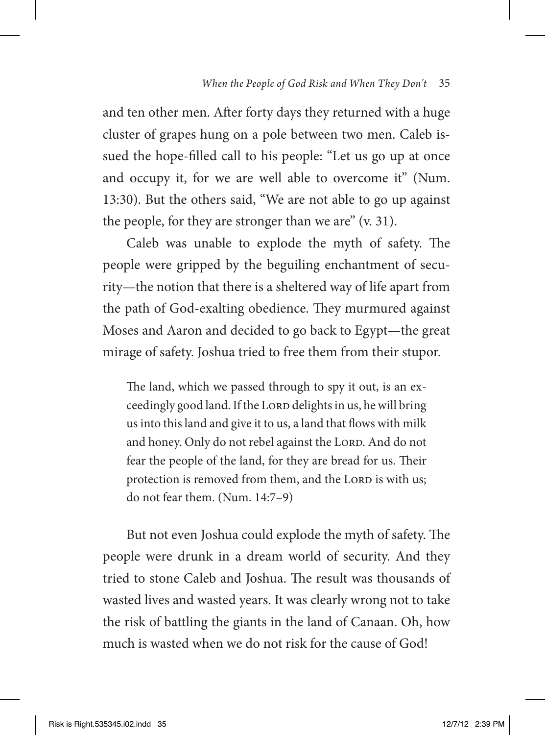and ten other men. After forty days they returned with a huge cluster of grapes hung on a pole between two men. Caleb issued the hope-filled call to his people: "Let us go up at once and occupy it, for we are well able to overcome it" (Num. 13:30). But the others said, "We are not able to go up against the people, for they are stronger than we are" (v. 31).

Caleb was unable to explode the myth of safety. The people were gripped by the beguiling enchantment of security—the notion that there is a sheltered way of life apart from the path of God-exalting obedience. They murmured against Moses and Aaron and decided to go back to Egypt—the great mirage of safety. Joshua tried to free them from their stupor.

The land, which we passed through to spy it out, is an exceedingly good land. If the LORD delights in us, he will bring us into this land and give it to us, a land that flows with milk and honey. Only do not rebel against the LORD. And do not fear the people of the land, for they are bread for us. Their protection is removed from them, and the LORD is with us; do not fear them. (Num. 14:7–9)

But not even Joshua could explode the myth of safety. The people were drunk in a dream world of security. And they tried to stone Caleb and Joshua. The result was thousands of wasted lives and wasted years. It was clearly wrong not to take the risk of battling the giants in the land of Canaan. Oh, how much is wasted when we do not risk for the cause of God!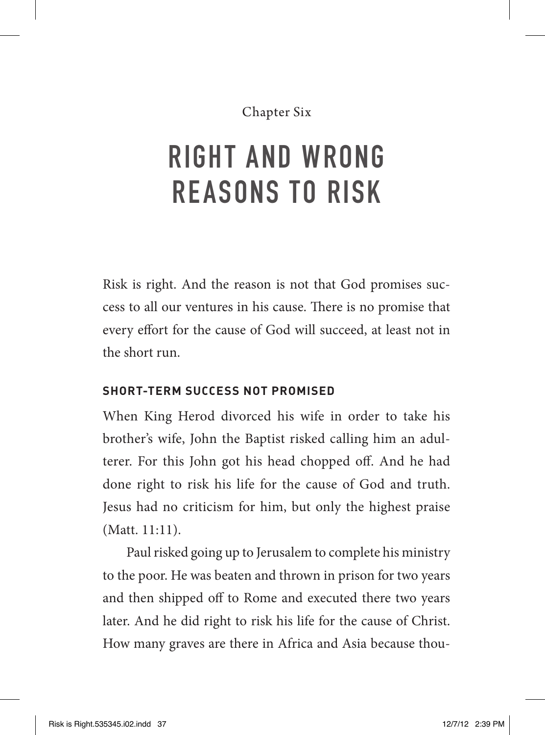#### Chapter Six

### RIGHT AND WRONG REASONS TO RISK

Risk is right. And the reason is not that God promises success to all our ventures in his cause. There is no promise that every effort for the cause of God will succeed, at least not in the short run.

#### **SHORT-TERM SUCCESS NOT PROMISED**

When King Herod divorced his wife in order to take his brother's wife, John the Baptist risked calling him an adulterer. For this John got his head chopped off. And he had done right to risk his life for the cause of God and truth. Jesus had no criticism for him, but only the highest praise (Matt. 11:11).

Paul risked going up to Jerusalem to complete his ministry to the poor. He was beaten and thrown in prison for two years and then shipped off to Rome and executed there two years later. And he did right to risk his life for the cause of Christ. How many graves are there in Africa and Asia because thou-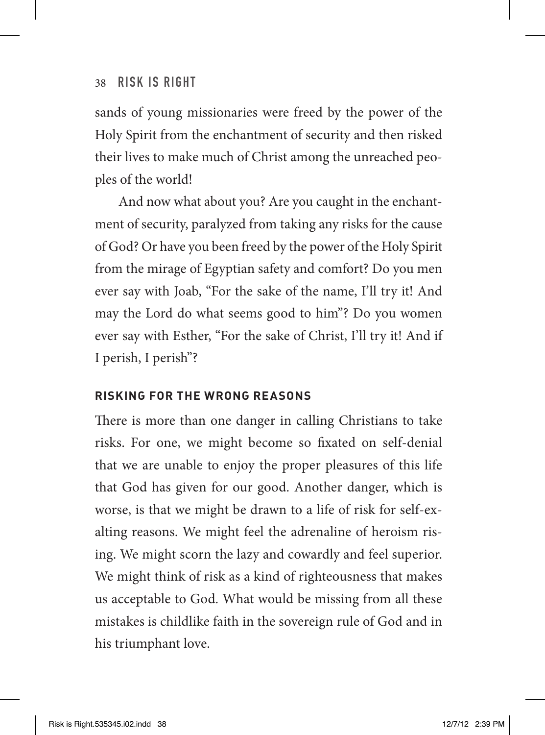sands of young missionaries were freed by the power of the Holy Spirit from the enchantment of security and then risked their lives to make much of Christ among the unreached peoples of the world!

And now what about you? Are you caught in the enchantment of security, paralyzed from taking any risks for the cause of God? Or have you been freed by the power of the Holy Spirit from the mirage of Egyptian safety and comfort? Do you men ever say with Joab, "For the sake of the name, I'll try it! And may the Lord do what seems good to him"? Do you women ever say with Esther, "For the sake of Christ, I'll try it! And if I perish, I perish"?

#### **RISKING FOR THE WRONG REASONS**

There is more than one danger in calling Christians to take risks. For one, we might become so fixated on self-denial that we are unable to enjoy the proper pleasures of this life that God has given for our good. Another danger, which is worse, is that we might be drawn to a life of risk for self-exalting reasons. We might feel the adrenaline of heroism rising. We might scorn the lazy and cowardly and feel superior. We might think of risk as a kind of righteousness that makes us acceptable to God. What would be missing from all these mistakes is childlike faith in the sovereign rule of God and in his triumphant love.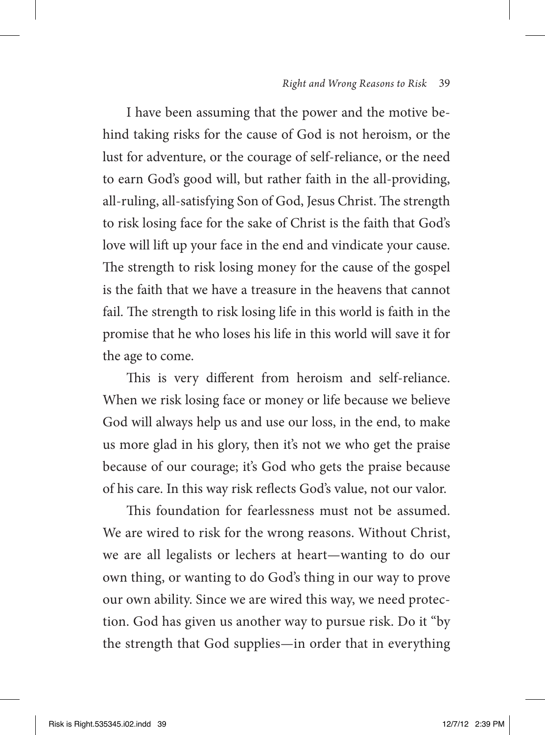I have been assuming that the power and the motive behind taking risks for the cause of God is not heroism, or the lust for adventure, or the courage of self-reliance, or the need to earn God's good will, but rather faith in the all-providing, all-ruling, all-satisfying Son of God, Jesus Christ. The strength to risk losing face for the sake of Christ is the faith that God's love will lift up your face in the end and vindicate your cause. The strength to risk losing money for the cause of the gospel is the faith that we have a treasure in the heavens that cannot fail. The strength to risk losing life in this world is faith in the promise that he who loses his life in this world will save it for the age to come.

This is very different from heroism and self-reliance. When we risk losing face or money or life because we believe God will always help us and use our loss, in the end, to make us more glad in his glory, then it's not we who get the praise because of our courage; it's God who gets the praise because of his care. In this way risk reflects God's value, not our valor.

This foundation for fearlessness must not be assumed. We are wired to risk for the wrong reasons. Without Christ, we are all legalists or lechers at heart—wanting to do our own thing, or wanting to do God's thing in our way to prove our own ability. Since we are wired this way, we need protection. God has given us another way to pursue risk. Do it "by the strength that God supplies—in order that in everything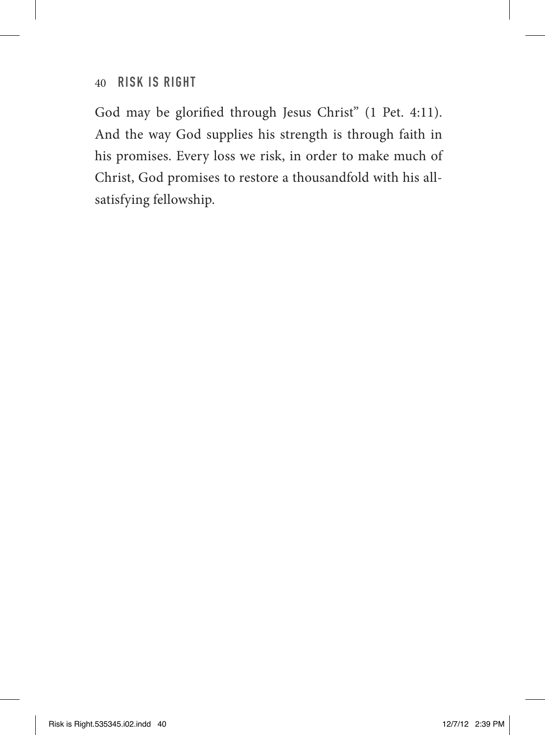God may be glorified through Jesus Christ" (1 Pet. 4:11). And the way God supplies his strength is through faith in his promises. Every loss we risk, in order to make much of Christ, God promises to restore a thousandfold with his allsatisfying fellowship.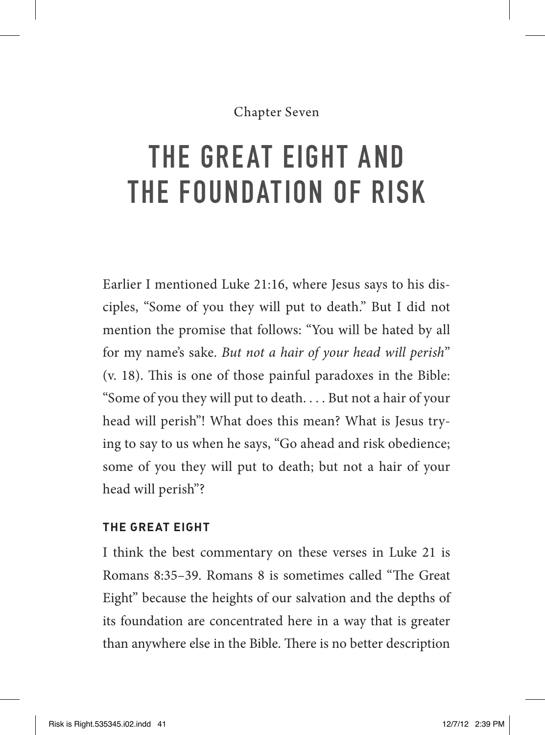#### Chapter Seven

### THE GREAT EIGHT AND THE FOUNDATION OF RISK

Earlier I mentioned Luke 21:16, where Jesus says to his disciples, "Some of you they will put to death." But I did not mention the promise that follows: "You will be hated by all for my name's sake. *But not a hair of your head will perish*" (v. 18). This is one of those painful paradoxes in the Bible: "Some of you they will put to death. . . . But not a hair of your head will perish"! What does this mean? What is Jesus trying to say to us when he says, "Go ahead and risk obedience; some of you they will put to death; but not a hair of your head will perish"?

#### **THE GREAT EIGHT**

I think the best commentary on these verses in Luke 21 is Romans 8:35–39. Romans 8 is sometimes called "The Great Eight" because the heights of our salvation and the depths of its foundation are concentrated here in a way that is greater than anywhere else in the Bible. There is no better description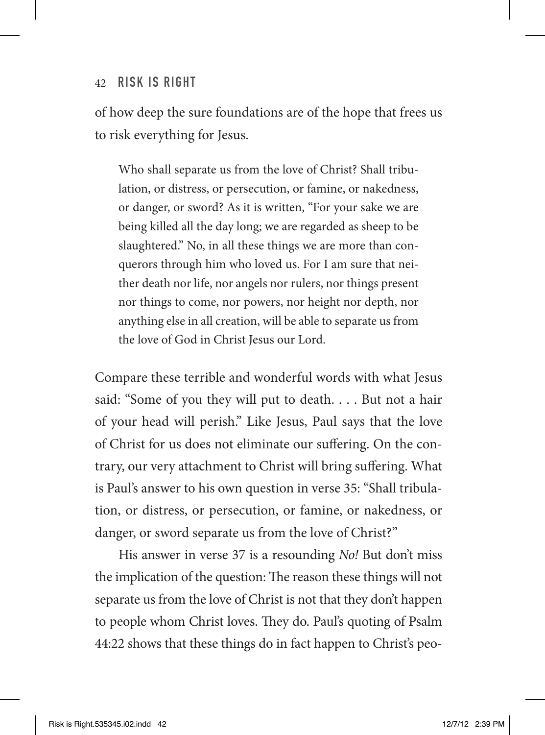of how deep the sure foundations are of the hope that frees us to risk everything for Jesus.

Who shall separate us from the love of Christ? Shall tribulation, or distress, or persecution, or famine, or nakedness, or danger, or sword? As it is written, "For your sake we are being killed all the day long; we are regarded as sheep to be slaughtered." No, in all these things we are more than conquerors through him who loved us. For I am sure that neither death nor life, nor angels nor rulers, nor things present nor things to come, nor powers, nor height nor depth, nor anything else in all creation, will be able to separate us from the love of God in Christ Jesus our Lord.

Compare these terrible and wonderful words with what Jesus said: "Some of you they will put to death. . . . But not a hair of your head will perish." Like Jesus, Paul says that the love of Christ for us does not eliminate our suffering. On the contrary, our very attachment to Christ will bring suffering. What is Paul's answer to his own question in verse 35: "Shall tribulation, or distress, or persecution, or famine, or nakedness, or danger, or sword separate us from the love of Christ?"

His answer in verse 37 is a resounding *No!* But don't miss the implication of the question: The reason these things will not separate us from the love of Christ is not that they don't happen to people whom Christ loves. They do. Paul's quoting of Psalm 44:22 shows that these things do in fact happen to Christ's peo-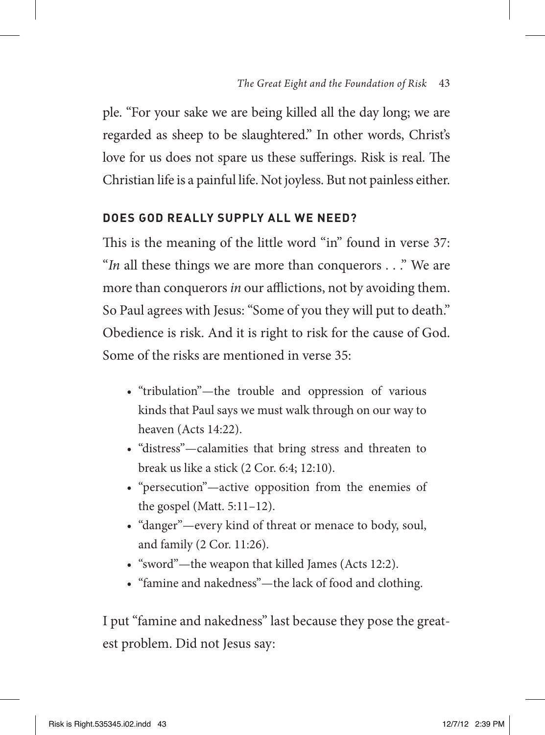ple. "For your sake we are being killed all the day long; we are regarded as sheep to be slaughtered." In other words, Christ's love for us does not spare us these sufferings. Risk is real. The Christian life is a painful life. Not joyless. But not painless either.

#### **DOES GOD REALLY SUPPLY ALL WE NEED?**

This is the meaning of the little word "in" found in verse 37: "*In* all these things we are more than conquerors . . ." We are more than conquerors *in* our afflictions, not by avoiding them. So Paul agrees with Jesus: "Some of you they will put to death." Obedience is risk. And it is right to risk for the cause of God. Some of the risks are mentioned in verse 35:

- "tribulation"—the trouble and oppression of various kinds that Paul says we must walk through on our way to heaven (Acts 14:22).
- "distress"—calamities that bring stress and threaten to break us like a stick (2 Cor. 6:4; 12:10).
- "persecution"—active opposition from the enemies of the gospel (Matt.  $5:11-12$ ).
- "danger"—every kind of threat or menace to body, soul, and family (2 Cor. 11:26).
- "sword"—the weapon that killed James (Acts 12:2).
- "famine and nakedness"—the lack of food and clothing.

I put "famine and nakedness" last because they pose the greatest problem. Did not Jesus say: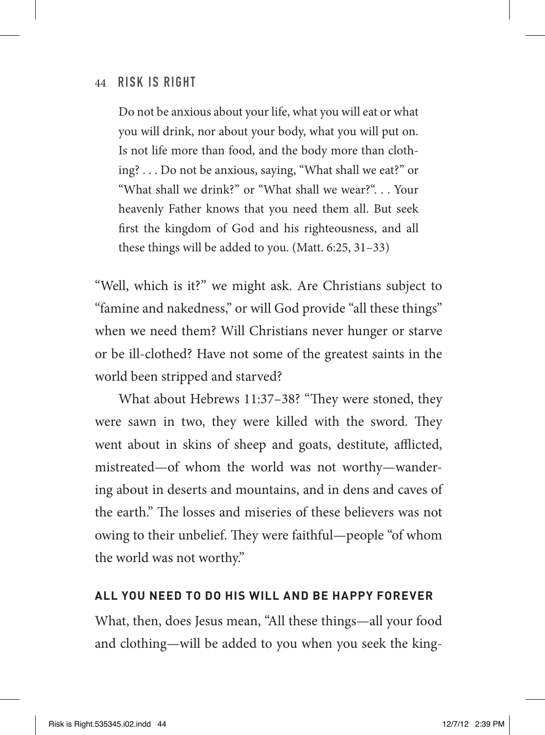#### 44 Risk Is Right

Do not be anxious about your life, what you will eat or what you will drink, nor about your body, what you will put on. Is not life more than food, and the body more than clothing? . . . Do not be anxious, saying, "What shall we eat?" or "What shall we drink?" or "What shall we wear?". . . Your heavenly Father knows that you need them all. But seek first the kingdom of God and his righteousness, and all these things will be added to you. (Matt. 6:25, 31–33)

"Well, which is it?" we might ask. Are Christians subject to "famine and nakedness," or will God provide "all these things" when we need them? Will Christians never hunger or starve or be ill-clothed? Have not some of the greatest saints in the world been stripped and starved?

What about Hebrews 11:37–38? "They were stoned, they were sawn in two, they were killed with the sword. They went about in skins of sheep and goats, destitute, afflicted, mistreated—of whom the world was not worthy—wandering about in deserts and mountains, and in dens and caves of the earth." The losses and miseries of these believers was not owing to their unbelief. They were faithful—people "of whom the world was not worthy."

#### **ALL YOU NEED TO DO HIS WILL AND BE HAPPY FOREVER**

What, then, does Jesus mean, "All these things—all your food and clothing—will be added to you when you seek the king-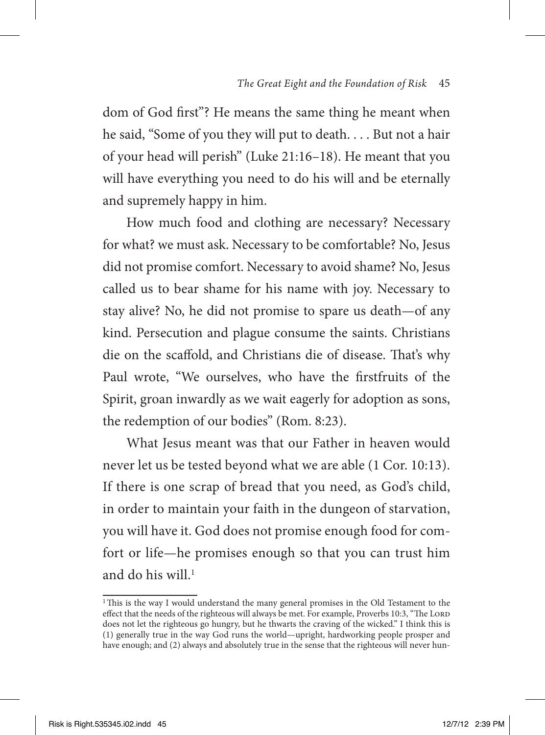dom of God first"? He means the same thing he meant when he said, "Some of you they will put to death. . . . But not a hair of your head will perish" (Luke 21:16–18). He meant that you will have everything you need to do his will and be eternally and supremely happy in him.

How much food and clothing are necessary? Necessary for what? we must ask. Necessary to be comfortable? No, Jesus did not promise comfort. Necessary to avoid shame? No, Jesus called us to bear shame for his name with joy. Necessary to stay alive? No, he did not promise to spare us death—of any kind. Persecution and plague consume the saints. Christians die on the scaffold, and Christians die of disease. That's why Paul wrote, "We ourselves, who have the firstfruits of the Spirit, groan inwardly as we wait eagerly for adoption as sons, the redemption of our bodies" (Rom. 8:23).

What Jesus meant was that our Father in heaven would never let us be tested beyond what we are able (1 Cor. 10:13). If there is one scrap of bread that you need, as God's child, in order to maintain your faith in the dungeon of starvation, you will have it. God does not promise enough food for comfort or life—he promises enough so that you can trust him and do his will.<sup>1</sup>

<sup>&</sup>lt;sup>1</sup>This is the way I would understand the many general promises in the Old Testament to the effect that the needs of the righteous will always be met. For example, Proverbs 10:3, "The LORD does not let the righteous go hungry, but he thwarts the craving of the wicked." I think this is (1) generally true in the way God runs the world—upright, hardworking people prosper and have enough; and (2) always and absolutely true in the sense that the righteous will never hun-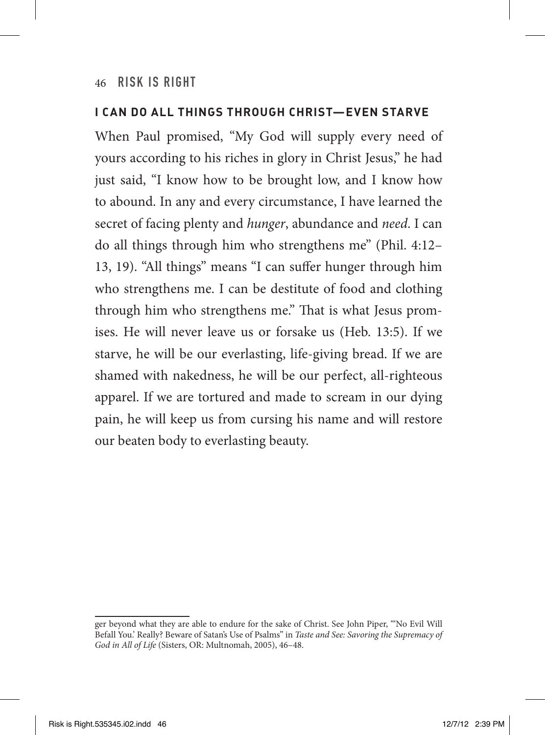#### **I CAN DO ALL THINGS THROUGH CHRIST—EVEN STARVE**

When Paul promised, "My God will supply every need of yours according to his riches in glory in Christ Jesus," he had just said, "I know how to be brought low, and I know how to abound. In any and every circumstance, I have learned the secret of facing plenty and *hunger*, abundance and *need*. I can do all things through him who strengthens me" (Phil. 4:12– 13, 19). "All things" means "I can suffer hunger through him who strengthens me. I can be destitute of food and clothing through him who strengthens me." That is what Jesus promises. He will never leave us or forsake us (Heb. 13:5). If we starve, he will be our everlasting, life-giving bread. If we are shamed with nakedness, he will be our perfect, all-righteous apparel. If we are tortured and made to scream in our dying pain, he will keep us from cursing his name and will restore our beaten body to everlasting beauty.

ger beyond what they are able to endure for the sake of Christ. See John Piper, "'No Evil Will Befall You.' Really? Beware of Satan's Use of Psalms" in *Taste and See: Savoring the Supremacy of God in All of Life* (Sisters, OR: Multnomah, 2005), 46–48.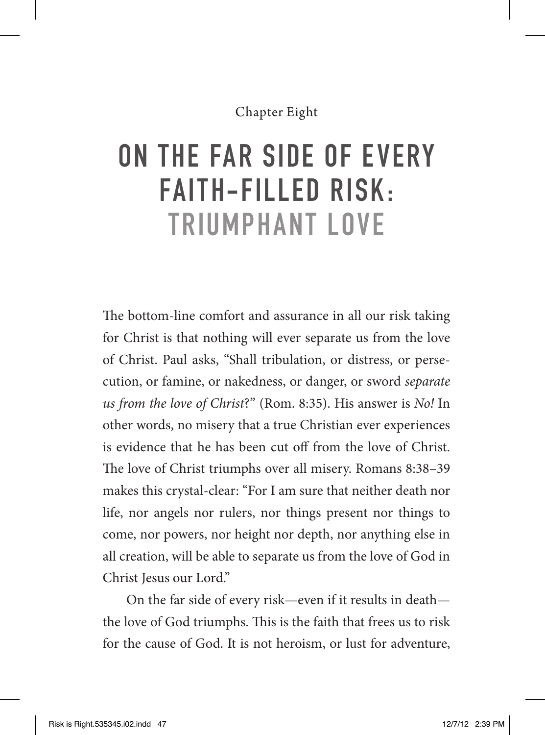#### Chapter Eight

### ON THE FAR SIDE OF EVERY FAITH-FILLED RISK: TRIUMPHANT LOVE

The bottom-line comfort and assurance in all our risk taking for Christ is that nothing will ever separate us from the love of Christ. Paul asks, "Shall tribulation, or distress, or persecution, or famine, or nakedness, or danger, or sword *separate us from the love of Christ*?" (Rom. 8:35). His answer is *No!* In other words, no misery that a true Christian ever experiences is evidence that he has been cut off from the love of Christ. The love of Christ triumphs over all misery. Romans 8:38–39 makes this crystal-clear: "For I am sure that neither death nor life, nor angels nor rulers, nor things present nor things to come, nor powers, nor height nor depth, nor anything else in all creation, will be able to separate us from the love of God in Christ Jesus our Lord."

On the far side of every risk—even if it results in death the love of God triumphs. This is the faith that frees us to risk for the cause of God. It is not heroism, or lust for adventure,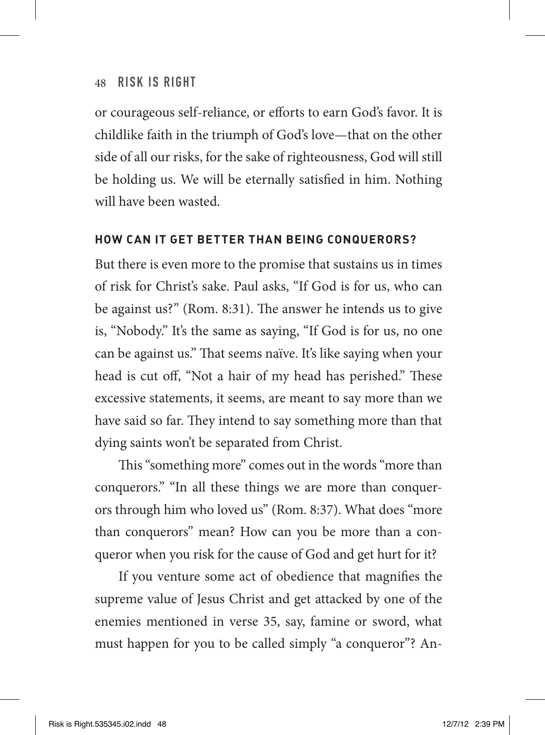#### 48 Risk Is Right

or courageous self-reliance, or efforts to earn God's favor. It is childlike faith in the triumph of God's love—that on the other side of all our risks, for the sake of righteousness, God will still be holding us. We will be eternally satisfied in him. Nothing will have been wasted.

#### **HOW CAN IT GET BETTER THAN BEING CONQUERORS?**

But there is even more to the promise that sustains us in times of risk for Christ's sake. Paul asks, "If God is for us, who can be against us?" (Rom. 8:31). The answer he intends us to give is, "Nobody." It's the same as saying, "If God is for us, no one can be against us." That seems naïve. It's like saying when your head is cut off, "Not a hair of my head has perished." These excessive statements, it seems, are meant to say more than we have said so far. They intend to say something more than that dying saints won't be separated from Christ.

This "something more" comes out in the words "more than conquerors." "In all these things we are more than conquerors through him who loved us" (Rom. 8:37). What does "more than conquerors" mean? How can you be more than a conqueror when you risk for the cause of God and get hurt for it?

If you venture some act of obedience that magnifies the supreme value of Jesus Christ and get attacked by one of the enemies mentioned in verse 35, say, famine or sword, what must happen for you to be called simply "a conqueror"? An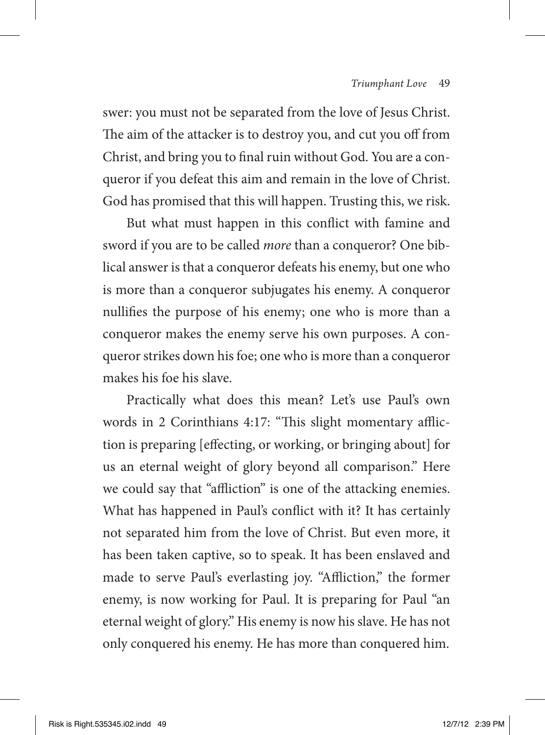swer: you must not be separated from the love of Jesus Christ. The aim of the attacker is to destroy you, and cut you off from Christ, and bring you to final ruin without God. You are a conqueror if you defeat this aim and remain in the love of Christ. God has promised that this will happen. Trusting this, we risk.

But what must happen in this conflict with famine and sword if you are to be called *more* than a conqueror? One biblical answer is that a conqueror defeats his enemy, but one who is more than a conqueror subjugates his enemy. A conqueror nullifies the purpose of his enemy; one who is more than a conqueror makes the enemy serve his own purposes. A conqueror strikes down his foe; one who is more than a conqueror makes his foe his slave.

Practically what does this mean? Let's use Paul's own words in 2 Corinthians 4:17: "This slight momentary affliction is preparing [effecting, or working, or bringing about] for us an eternal weight of glory beyond all comparison." Here we could say that "affliction" is one of the attacking enemies. What has happened in Paul's conflict with it? It has certainly not separated him from the love of Christ. But even more, it has been taken captive, so to speak. It has been enslaved and made to serve Paul's everlasting joy. "Affliction," the former enemy, is now working for Paul. It is preparing for Paul "an eternal weight of glory." His enemy is now his slave. He has not only conquered his enemy. He has more than conquered him.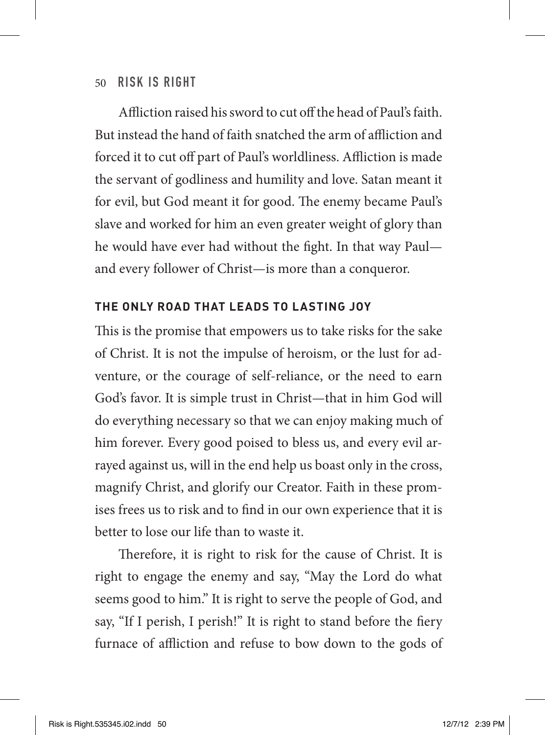#### 50 Risk Is Right

Affliction raised his sword to cut off the head of Paul's faith. But instead the hand of faith snatched the arm of affliction and forced it to cut off part of Paul's worldliness. Affliction is made the servant of godliness and humility and love. Satan meant it for evil, but God meant it for good. The enemy became Paul's slave and worked for him an even greater weight of glory than he would have ever had without the fight. In that way Paul and every follower of Christ—is more than a conqueror.

#### **THE ONLY ROAD THAT LEADS TO LASTING JOY**

This is the promise that empowers us to take risks for the sake of Christ. It is not the impulse of heroism, or the lust for adventure, or the courage of self-reliance, or the need to earn God's favor. It is simple trust in Christ—that in him God will do everything necessary so that we can enjoy making much of him forever. Every good poised to bless us, and every evil arrayed against us, will in the end help us boast only in the cross, magnify Christ, and glorify our Creator. Faith in these promises frees us to risk and to find in our own experience that it is better to lose our life than to waste it.

Therefore, it is right to risk for the cause of Christ. It is right to engage the enemy and say, "May the Lord do what seems good to him." It is right to serve the people of God, and say, "If I perish, I perish!" It is right to stand before the fiery furnace of affliction and refuse to bow down to the gods of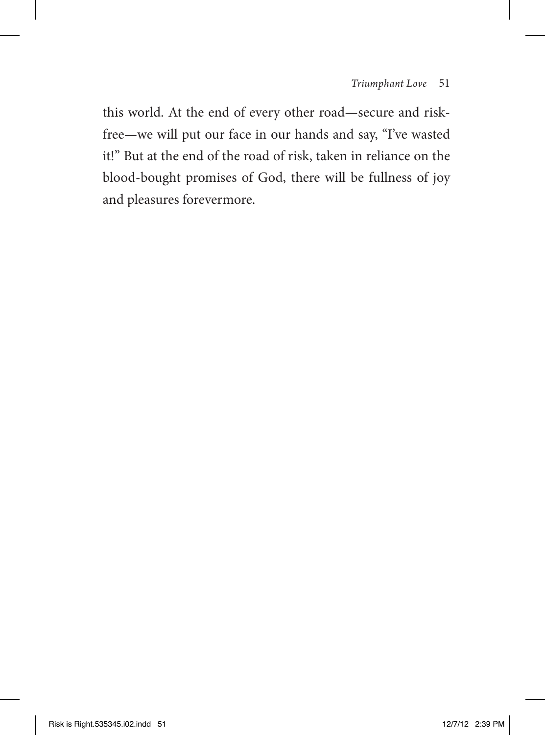this world. At the end of every other road—secure and riskfree—we will put our face in our hands and say, "I've wasted it!" But at the end of the road of risk, taken in reliance on the blood-bought promises of God, there will be fullness of joy and pleasures forevermore.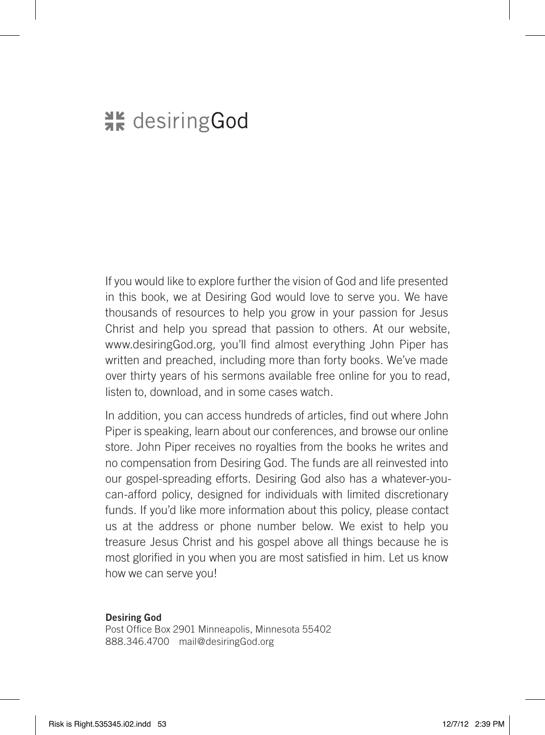### **XE** desiring God

If you would like to explore further the vision of God and life presented in this book, we at Desiring God would love to serve you. We have thousands of resources to help you grow in your passion for Jesus Christ and help you spread that passion to others. At our website, www.desiringGod.org, you'll find almost everything John Piper has written and preached, including more than forty books. We've made over thirty years of his sermons available free online for you to read, listen to, download, and in some cases watch.

In addition, you can access hundreds of articles, find out where John Piper is speaking, learn about our conferences, and browse our online store. John Piper receives no royalties from the books he writes and no compensation from Desiring God. The funds are all reinvested into our gospel-spreading efforts. Desiring God also has a whatever-youcan-afford policy, designed for individuals with limited discretionary funds. If you'd like more information about this policy, please contact us at the address or phone number below. We exist to help you treasure Jesus Christ and his gospel above all things because he is most glorified in you when you are most satisfied in him. Let us know how we can serve you!

**Desiring God** Post Office Box 2901 Minneapolis, Minnesota 55402 888.346.4700 mail@desiringGod.org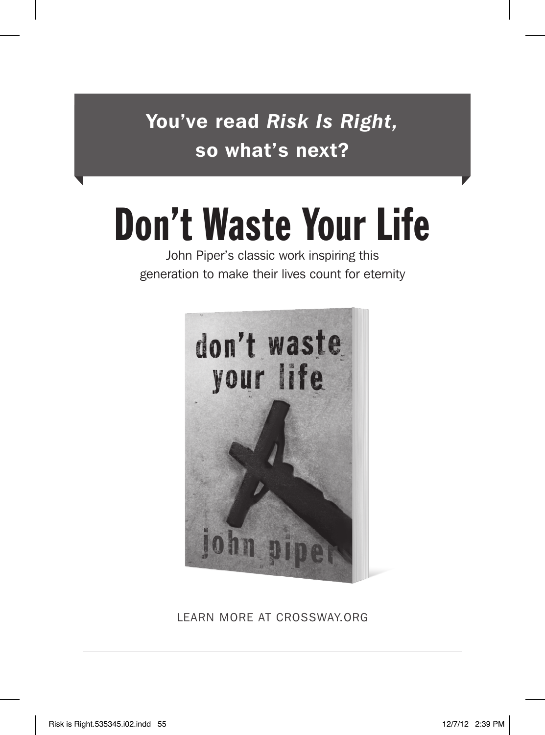You've read *Risk Is Right,*  so what's next?

# Don't Waste Your Life

John Piper's classic work inspiring this generation to make their lives count for eternity



LEARN MORE AT CROSSWAY.ORG